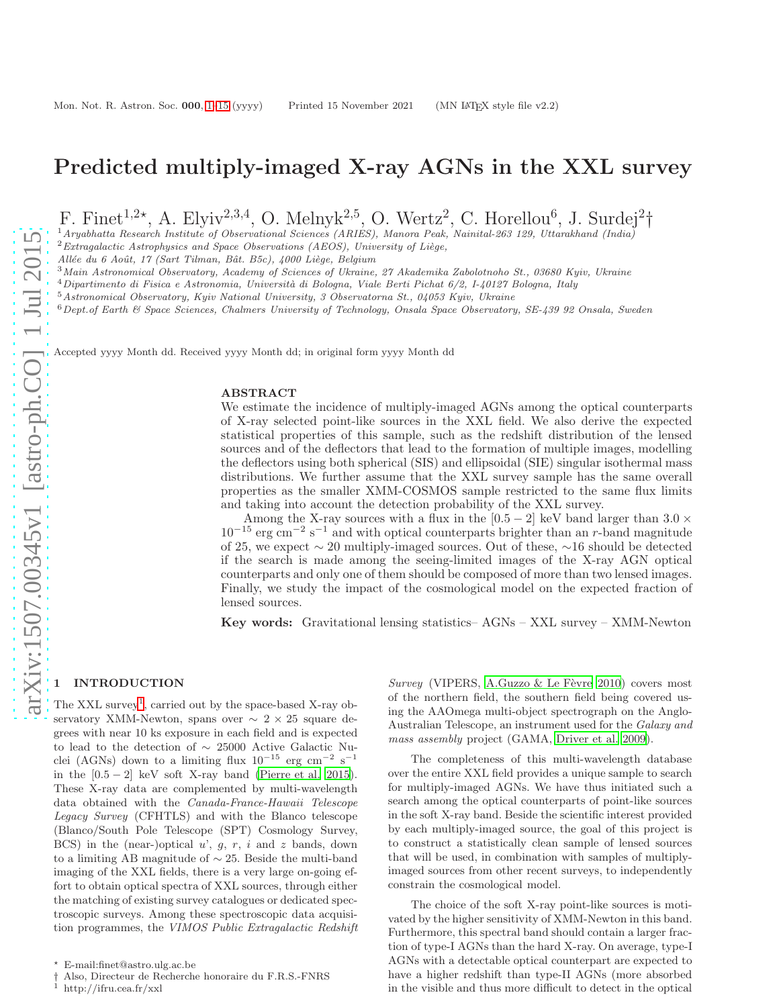# Predicted multiply-imaged X-ray AGNs in the XXL survey

F. Finet<sup>1,2\*</sup>, A. Elyiv<sup>2,3,4</sup>, O. Melnyk<sup>2,5</sup>, O. Wertz<sup>2</sup>, C. Horellou<sup>6</sup>, J. Surdej<sup>2</sup>†

<sup>1</sup>*Aryabhatta Research Institute of Observational Sciences (ARIES), Manora Peak, Nainital-263 129, Uttarakhand (India)*

<sup>2</sup> Extragalactic Astrophysics and Space Observations (AEOS), University of Liège,

*All´ee du 6 Aoˆut, 17 (Sart Tilman, Bˆat. B5c), 4000 Li`ege, Belgium*

<sup>3</sup>*Main Astronomical Observatory, Academy of Sciences of Ukraine, 27 Akademika Zabolotnoho St., 03680 Kyiv, Ukraine*

<sup>4</sup>*Dipartimento di Fisica e Astronomia, Universit`a di Bologna, Viale Berti Pichat 6/2, I-40127 Bologna, Italy*

<sup>5</sup>*Astronomical Observatory, Kyiv National University, 3 Observatorna St., 04053 Kyiv, Ukraine*

<sup>6</sup>*Dept.of Earth & Space Sciences, Chalmers University of Technology, Onsala Space Observatory, SE-439 92 Onsala, Sweden*

Accepted yyyy Month dd. Received yyyy Month dd; in original form yyyy Month dd

### ABSTRACT

We estimate the incidence of multiply-imaged AGNs among the optical counterparts of X-ray selected point-like sources in the XXL field. We also derive the expected statistical properties of this sample, such as the redshift distribution of the lensed sources and of the deflectors that lead to the formation of multiple images, modelling the deflectors using both spherical (SIS) and ellipsoidal (SIE) singular isothermal mass distributions. We further assume that the XXL survey sample has the same overall properties as the smaller XMM-COSMOS sample restricted to the same flux limits and taking into account the detection probability of the XXL survey.

Among the X-ray sources with a flux in the [0.5 – 2] keV band larger than 3.0  $\times$ 10<sup>-15</sup> erg cm<sup>-2</sup> s<sup>-1</sup> and with optical counterparts brighter than an *r*-band magnitude of 25, we expect ∼ 20 multiply-imaged sources. Out of these, ∼16 should be detected if the search is made among the seeing-limited images of the X-ray AGN optical counterparts and only one of them should be composed of more than two lensed images. Finally, we study the impact of the cosmological model on the expected fraction of lensed sources.

Key words: Gravitational lensing statistics– AGNs – XXL survey – XMM-Newton

## <span id="page-0-0"></span>**INTRODUCTION**

The XXL survey<sup>[1](#page-0-1)</sup>, carried out by the space-based X-ray observatory XMM-Newton, spans over ∼ 2 × 25 square degrees with near 10 ks exposure in each field and is expected to lead to the detection of ∼ 25000 Active Galactic Nuclei (AGNs) down to a limiting flux  $10^{-15}$  erg cm<sup>-2</sup> s<sup>-1</sup> in the  $[0.5 - 2]$  keV soft X-ray band [\(Pierre et al. 2015](#page-14-0)). These X-ray data are complemented by multi-wavelength data obtained with the Canada-France-Hawaii Telescope Legacy Survey (CFHTLS) and with the Blanco telescope (Blanco/South Pole Telescope (SPT) Cosmology Survey, BCS) in the (near-)optical  $u'$ ,  $g$ ,  $r$ ,  $i$  and  $z$  bands, down to a limiting AB magnitude of ∼ 25. Beside the multi-band imaging of the XXL fields, there is a very large on-going effort to obtain optical spectra of XXL sources, through either the matching of existing survey catalogues or dedicated spectroscopic surveys. Among these spectroscopic data acquisition programmes, the VIMOS Public Extragalactic Redshift

Survey (VIPERS, A.Guzzo & Le Fèvre 2010) covers most of the northern field, the southern field being covered using the AAOmega multi-object spectrograph on the Anglo-Australian Telescope, an instrument used for the Galaxy and mass assembly project (GAMA, [Driver et al. 2009\)](#page-14-1).

The completeness of this multi-wavelength database over the entire XXL field provides a unique sample to search for multiply-imaged AGNs. We have thus initiated such a search among the optical counterparts of point-like sources in the soft X-ray band. Beside the scientific interest provided by each multiply-imaged source, the goal of this project is to construct a statistically clean sample of lensed sources that will be used, in combination with samples of multiplyimaged sources from other recent surveys, to independently constrain the cosmological model.

The choice of the soft X-ray point-like sources is motivated by the higher sensitivity of XMM-Newton in this band. Furthermore, this spectral band should contain a larger fraction of type-I AGNs than the hard X-ray. On average, type-I AGNs with a detectable optical counterpart are expected to have a higher redshift than type-II AGNs (more absorbed in the visible and thus more difficult to detect in the optical

 $^\star\,$  E-mail:finet@astro.ulg.ac.be

<sup>†</sup> Also, Directeur de Recherche honoraire du F.R.S.-FNRS

<span id="page-0-1"></span>http://ifru.cea.fr/xxl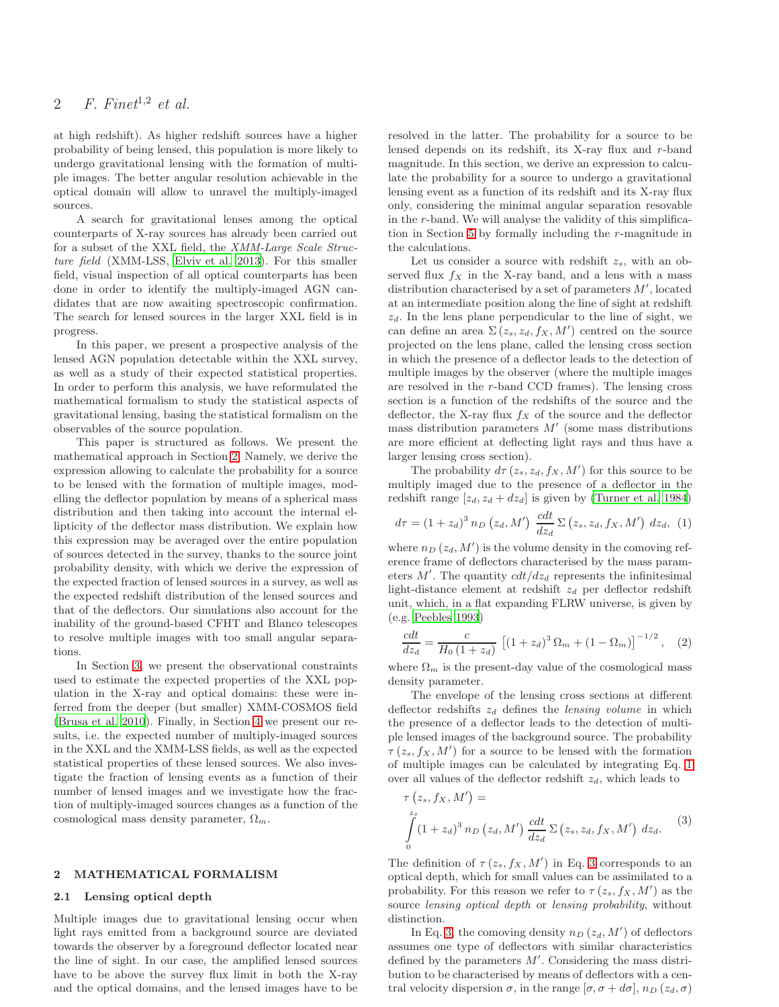at high redshift). As higher redshift sources have a higher probability of being lensed, this population is more likely to undergo gravitational lensing with the formation of multiple images. The better angular resolution achievable in the optical domain will allow to unravel the multiply-imaged sources.

A search for gravitational lenses among the optical counterparts of X-ray sources has already been carried out for a subset of the XXL field, the XMM-Large Scale Structure field (XMM-LSS, [Elyiv et al. 2013\)](#page-14-2). For this smaller field, visual inspection of all optical counterparts has been done in order to identify the multiply-imaged AGN candidates that are now awaiting spectroscopic confirmation. The search for lensed sources in the larger XXL field is in progress.

In this paper, we present a prospective analysis of the lensed AGN population detectable within the XXL survey, as well as a study of their expected statistical properties. In order to perform this analysis, we have reformulated the mathematical formalism to study the statistical aspects of gravitational lensing, basing the statistical formalism on the observables of the source population.

This paper is structured as follows. We present the mathematical approach in Section [2.](#page-1-0) Namely, we derive the expression allowing to calculate the probability for a source to be lensed with the formation of multiple images, modelling the deflector population by means of a spherical mass distribution and then taking into account the internal ellipticity of the deflector mass distribution. We explain how this expression may be averaged over the entire population of sources detected in the survey, thanks to the source joint probability density, with which we derive the expression of the expected fraction of lensed sources in a survey, as well as the expected redshift distribution of the lensed sources and that of the deflectors. Our simulations also account for the inability of the ground-based CFHT and Blanco telescopes to resolve multiple images with too small angular separations.

In Section [3,](#page-5-0) we present the observational constraints used to estimate the expected properties of the XXL population in the X-ray and optical domains: these were inferred from the deeper (but smaller) XMM-COSMOS field [\(Brusa et al. 2010](#page-13-1)). Finally, in Section [4](#page-7-0) we present our results, i.e. the expected number of multiply-imaged sources in the XXL and the XMM-LSS fields, as well as the expected statistical properties of these lensed sources. We also investigate the fraction of lensing events as a function of their number of lensed images and we investigate how the fraction of multiply-imaged sources changes as a function of the cosmological mass density parameter,  $\Omega_m$ .

### <span id="page-1-0"></span>2 MATHEMATICAL FORMALISM

#### 2.1 Lensing optical depth

Multiple images due to gravitational lensing occur when light rays emitted from a background source are deviated towards the observer by a foreground deflector located near the line of sight. In our case, the amplified lensed sources have to be above the survey flux limit in both the X-ray and the optical domains, and the lensed images have to be

resolved in the latter. The probability for a source to be lensed depends on its redshift, its X-ray flux and r-band magnitude. In this section, we derive an expression to calculate the probability for a source to undergo a gravitational lensing event as a function of its redshift and its X-ray flux only, considering the minimal angular separation resovable in the r-band. We will analyse the validity of this simplification in Section [5](#page-11-0) by formally including the r-magnitude in the calculations.

Let us consider a source with redshift  $z_s$ , with an observed flux  $f_X$  in the X-ray band, and a lens with a mass distribution characterised by a set of parameters  $M'$ , located at an intermediate position along the line of sight at redshift  $z_d$ . In the lens plane perpendicular to the line of sight, we can define an area  $\Sigma(z_s, z_d, f_X, M')$  centred on the source projected on the lens plane, called the lensing cross section in which the presence of a deflector leads to the detection of multiple images by the observer (where the multiple images are resolved in the r-band CCD frames). The lensing cross section is a function of the redshifts of the source and the deflector, the X-ray flux  $f_X$  of the source and the deflector mass distribution parameters  $M'$  (some mass distributions are more efficient at deflecting light rays and thus have a larger lensing cross section).

The probability  $d\tau(z_s, z_d, f_X, M')$  for this source to be multiply imaged due to the presence of a deflector in the redshift range  $[z_d, z_d + dz_d]$  is given by [\(Turner et al. 1984](#page-14-3))

<span id="page-1-1"></span>
$$
d\tau = (1 + z_d)^3 n_D (z_d, M') \frac{cdt}{dz_d} \Sigma (z_s, z_d, f_X, M') dz_d, (1)
$$

where  $n_D(z_d, M')$  is the volume density in the comoving reference frame of deflectors characterised by the mass parameters  $M'$ . The quantity  $cdt/dz_d$  represents the infinitesimal light-distance element at redshift  $z_d$  per deflector redshift unit, which, in a flat expanding FLRW universe, is given by (e.g. [Peebles 1993\)](#page-14-4)

<span id="page-1-3"></span>
$$
\frac{cdt}{dz_d} = \frac{c}{H_0 \left(1 + z_d\right)} \left[ \left(1 + z_d\right)^3 \Omega_m + \left(1 - \Omega_m\right) \right]^{-1/2}, \quad (2)
$$

where  $\Omega_m$  is the present-day value of the cosmological mass density parameter.

The envelope of the lensing cross sections at different deflector redshifts  $z_d$  defines the lensing volume in which the presence of a deflector leads to the detection of multiple lensed images of the background source. The probability  $\tau(z_s, f_X, M')$  for a source to be lensed with the formation of multiple images can be calculated by integrating Eq. [1](#page-1-1) over all values of the deflector redshift  $z_d$ , which leads to

<span id="page-1-2"></span>
$$
\tau(z_s, f_X, M') =
$$
  

$$
\int_{0}^{z_s} (1 + z_d)^3 n_D(z_d, M') \frac{cdt}{dz_d} \Sigma(z_s, z_d, f_X, M') dz_d.
$$
 (3)

The definition of  $\tau(z_s, f_X, M')$  in Eq. [3](#page-1-2) corresponds to an optical depth, which for small values can be assimilated to a probability. For this reason we refer to  $\tau(z_s, f_X, M')$  as the source lensing optical depth or lensing probability, without distinction.

In Eq. [3,](#page-1-2) the comoving density  $n_D(z_d, M')$  of deflectors assumes one type of deflectors with similar characteristics defined by the parameters  $M'$ . Considering the mass distribution to be characterised by means of deflectors with a central velocity dispersion  $\sigma$ , in the range  $[\sigma, \sigma + d\sigma]$ ,  $n_D$  ( $z_d$ ,  $\sigma$ )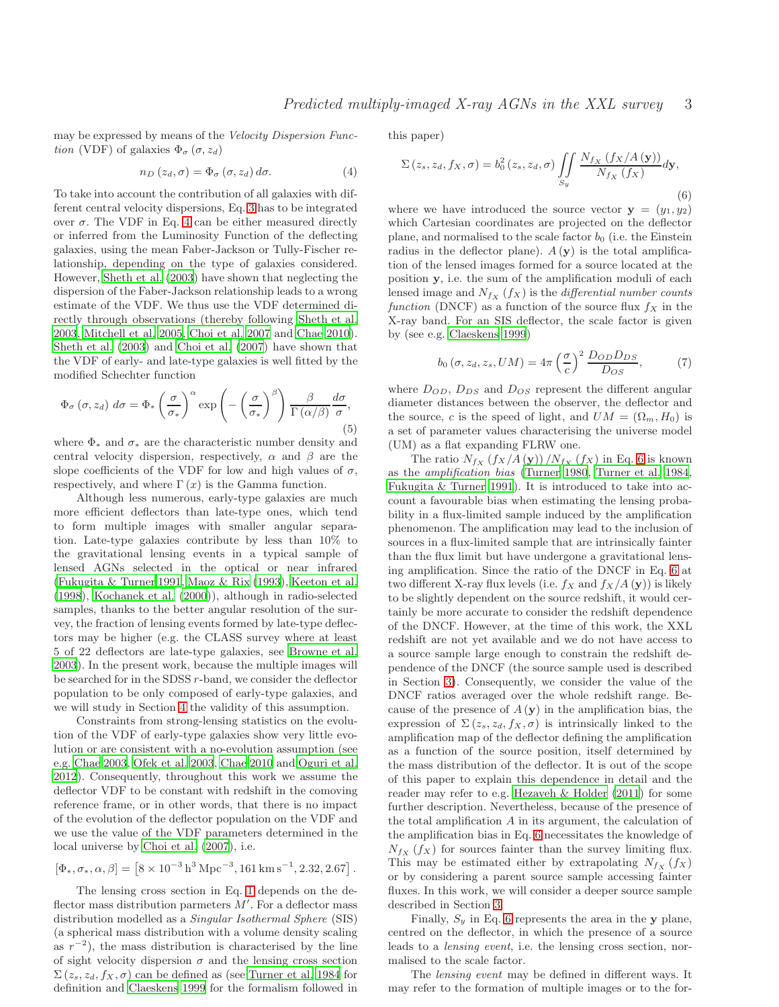may be expressed by means of the Velocity Dispersion Function (VDF) of galaxies  $\Phi_{\sigma}(\sigma, z_d)$ 

<span id="page-2-0"></span>
$$
n_D(z_d, \sigma) = \Phi_{\sigma}(\sigma, z_d) d\sigma.
$$
 (4)

To take into account the contribution of all galaxies with different central velocity dispersions, Eq. [3](#page-1-2) has to be integrated over  $\sigma$ . The VDF in Eq. [4](#page-2-0) can be either measured directly or inferred from the Luminosity Function of the deflecting galaxies, using the mean Faber-Jackson or Tully-Fischer relationship, depending on the type of galaxies considered. However, [Sheth et al. \(2003](#page-14-5)) have shown that neglecting the dispersion of the Faber-Jackson relationship leads to a wrong estimate of the VDF. We thus use the VDF determined directly through observations (thereby following [Sheth et al.](#page-14-5) [2003](#page-14-5), [Mitchell et al. 2005](#page-14-6), [Choi et al. 2007](#page-14-7) and [Chae 2010](#page-14-8)). [Sheth et al. \(2003](#page-14-5)) and [Choi et al. \(2007](#page-14-7)) have shown that the VDF of early- and late-type galaxies is well fitted by the modified Schechter function

<span id="page-2-2"></span>
$$
\Phi_{\sigma}(\sigma, z_d) d\sigma = \Phi_{*} \left(\frac{\sigma}{\sigma_{*}}\right)^{\alpha} \exp\left(-\left(\frac{\sigma}{\sigma_{*}}\right)^{\beta}\right) \frac{\beta}{\Gamma(\alpha/\beta)} \frac{d\sigma}{\sigma},\tag{5}
$$

where  $\Phi_*$  and  $\sigma_*$  are the characteristic number density and central velocity dispersion, respectively,  $\alpha$  and  $\beta$  are the slope coefficients of the VDF for low and high values of  $\sigma$ , respectively, and where  $\Gamma(x)$  is the Gamma function.

Although less numerous, early-type galaxies are much more efficient deflectors than late-type ones, which tend to form multiple images with smaller angular separation. Late-type galaxies contribute by less than 10% to the gravitational lensing events in a typical sample of lensed AGNs selected in the optical or near infrared [\(Fukugita & Turner 1991](#page-14-9), [Maoz & Rix \(1993\)](#page-14-10), [Keeton et al.](#page-14-11) [\(1998](#page-14-11)), [Kochanek et al. \(2000\)](#page-14-12)), although in radio-selected samples, thanks to the better angular resolution of the survey, the fraction of lensing events formed by late-type deflectors may be higher (e.g. the CLASS survey where at least 5 of 22 deflectors are late-type galaxies, see [Browne et al.](#page-13-2) [2003](#page-13-2)). In the present work, because the multiple images will be searched for in the SDSS r-band, we consider the deflector population to be only composed of early-type galaxies, and we will study in Section [4](#page-7-0) the validity of this assumption.

Constraints from strong-lensing statistics on the evolution of the VDF of early-type galaxies show very little evolution or are consistent with a no-evolution assumption (see e.g. [Chae 2003,](#page-14-13) [Ofek et al. 2003](#page-14-14), [Chae 2010](#page-14-8) and [Oguri et al.](#page-14-15) [2012](#page-14-15)). Consequently, throughout this work we assume the deflector VDF to be constant with redshift in the comoving reference frame, or in other words, that there is no impact of the evolution of the deflector population on the VDF and we use the value of the VDF parameters determined in the local universe by [Choi et al. \(2007](#page-14-7)), i.e.

$$
[\Phi_*,\sigma_*,\alpha,\beta] = \left[8\times10^{-3}\,h^3\,{\rm Mpc}^{-3},161\,{\rm km\,s}^{-1},2.32,2.67\right]
$$

.

The lensing cross section in Eq. [1](#page-1-1) depends on the deflector mass distribution parmeters  $M'$ . For a deflector mass distribution modelled as a Singular Isothermal Sphere (SIS) (a spherical mass distribution with a volume density scaling as  $r^{-2}$ ), the mass distribution is characterised by the line of sight velocity dispersion  $\sigma$  and the lensing cross section  $\Sigma(z_s, z_d, f_X, \sigma)$  can be defined as (see [Turner et al. 1984](#page-14-3) for definition and [Claeskens 1999](#page-14-16) for the formalism followed in

this paper)

<span id="page-2-1"></span>
$$
\Sigma(z_s, z_d, f_X, \sigma) = b_0^2(z_s, z_d, \sigma) \iint\limits_{S_y} \frac{N_{f_X} (f_X/A(\mathbf{y}))}{N_{f_X} (f_X)} d\mathbf{y},\tag{6}
$$

where we have introduced the source vector  $y = (y_1, y_2)$ which Cartesian coordinates are projected on the deflector plane, and normalised to the scale factor  $b_0$  (i.e. the Einstein radius in the deflector plane).  $A(y)$  is the total amplification of the lensed images formed for a source located at the position y, i.e. the sum of the amplification moduli of each lensed image and  $N_{f_X}$  ( $f_X$ ) is the differential number counts function (DNCF) as a function of the source flux  $f_X$  in the X-ray band. For an SIS deflector, the scale factor is given by (see e.g. [Claeskens 1999\)](#page-14-16)

<span id="page-2-3"></span>
$$
b_0\left(\sigma, z_d, z_s, UM\right) = 4\pi \left(\frac{\sigma}{c}\right)^2 \frac{D_{OD}D_{DS}}{D_{OS}},\tag{7}
$$

where  $D_{OD}$ ,  $D_{DS}$  and  $D_{OS}$  represent the different angular diameter distances between the observer, the deflector and the source, c is the speed of light, and  $UM = (\Omega_m, H_0)$  is a set of parameter values characterising the universe model (UM) as a flat expanding FLRW one.

The ratio  $N_{f_X}$   $(f_X/A(y))$  / $N_{f_X}$   $(f_X)$  in Eq. [6](#page-2-1) is known as the amplification bias [\(Turner 1980](#page-14-17), [Turner et al. 1984](#page-14-3), [Fukugita & Turner 1991\)](#page-14-9). It is introduced to take into account a favourable bias when estimating the lensing probability in a flux-limited sample induced by the amplification phenomenon. The amplification may lead to the inclusion of sources in a flux-limited sample that are intrinsically fainter than the flux limit but have undergone a gravitational lensing amplification. Since the ratio of the DNCF in Eq. [6](#page-2-1) at two different X-ray flux levels (i.e.  $f_X$  and  $f_X/A(y)$ ) is likely to be slightly dependent on the source redshift, it would certainly be more accurate to consider the redshift dependence of the DNCF. However, at the time of this work, the XXL redshift are not yet available and we do not have access to a source sample large enough to constrain the redshift dependence of the DNCF (the source sample used is described in Section [3\)](#page-5-0). Consequently, we consider the value of the DNCF ratios averaged over the whole redshift range. Because of the presence of  $A(y)$  in the amplification bias, the expression of  $\Sigma(z_s, z_d, f_X, \sigma)$  is intrinsically linked to the amplification map of the deflector defining the amplification as a function of the source position, itself determined by the mass distribution of the deflector. It is out of the scope of this paper to explain this dependence in detail and the reader may refer to e.g. [Hezaveh & Holder \(2011\)](#page-14-18) for some further description. Nevertheless, because of the presence of the total amplification A in its argument, the calculation of the amplification bias in Eq. [6](#page-2-1) necessitates the knowledge of  $N_{f_X}$  ( $f_X$ ) for sources fainter than the survey limiting flux. This may be estimated either by extrapolating  $N_{f_X}(f_X)$ or by considering a parent source sample accessing fainter fluxes. In this work, we will consider a deeper source sample described in Section [3.](#page-5-0)

Finally,  $S_y$  in Eq. [6](#page-2-1) represents the area in the y plane, centred on the deflector, in which the presence of a source leads to a lensing event, i.e. the lensing cross section, normalised to the scale factor.

The lensing event may be defined in different ways. It may refer to the formation of multiple images or to the for-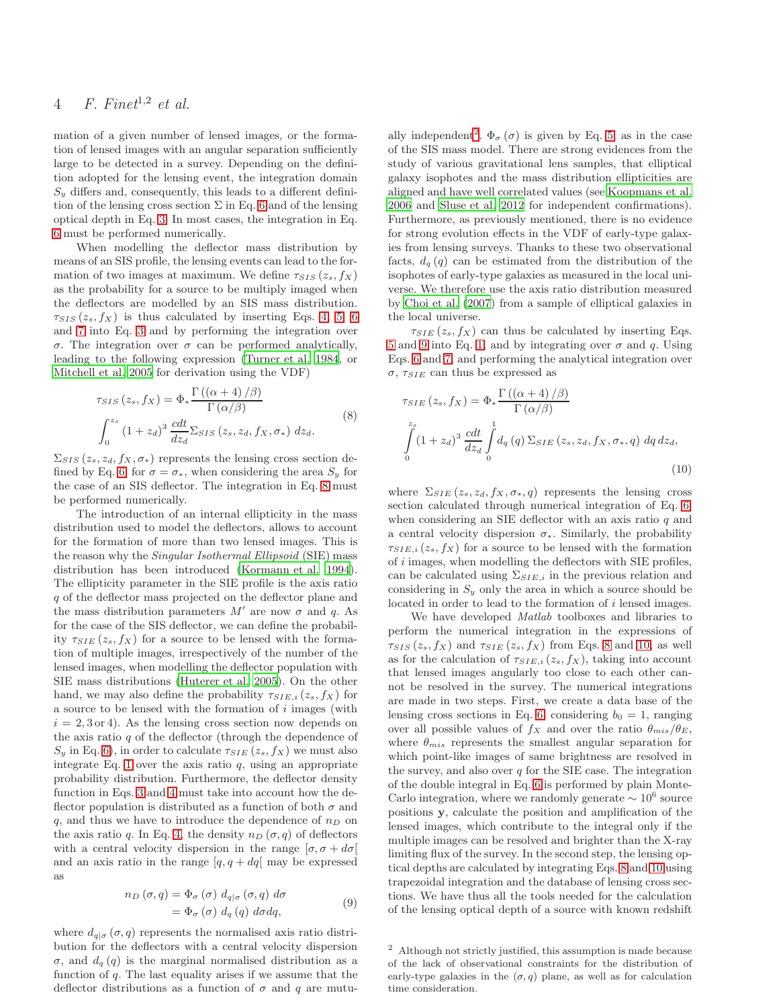mation of a given number of lensed images, or the formation of lensed images with an angular separation sufficiently large to be detected in a survey. Depending on the definition adopted for the lensing event, the integration domain  $S<sub>y</sub>$  differs and, consequently, this leads to a different definition of the lensing cross section  $\Sigma$  in Eq. [6](#page-2-1) and of the lensing optical depth in Eq. [3.](#page-1-2) In most cases, the integration in Eq. [6](#page-2-1) must be performed numerically.

When modelling the deflector mass distribution by means of an SIS profile, the lensing events can lead to the formation of two images at maximum. We define  $\tau_{SIS}(z_s, f_X)$ as the probability for a source to be multiply imaged when the deflectors are modelled by an SIS mass distribution.  $\tau_{SIS}(z_s, f_X)$  is thus calculated by inserting Eqs. [4,](#page-2-0) [5,](#page-2-2) [6](#page-2-1) and [7](#page-2-3) into Eq. [3](#page-1-2) and by performing the integration over σ. The integration over σ can be performed analytically, leading to the following expression [\(Turner et al. 1984](#page-14-3), or [Mitchell et al. 2005](#page-14-6) for derivation using the VDF)

$$
\tau_{SIS}(z_s, f_X) = \Phi_* \frac{\Gamma((\alpha + 4)/\beta)}{\Gamma(\alpha/\beta)}
$$
  

$$
\int_0^{z_s} (1 + z_d)^3 \frac{cdt}{dz_d} \Sigma_{SIS}(z_s, z_d, f_X, \sigma_*) dz_d.
$$
 (8)

<span id="page-3-0"></span> $\Sigma_{SIS}(z_s, z_d, f_X, \sigma_*)$  represents the lensing cross section de-fined by Eq. [6,](#page-2-1) for  $\sigma = \sigma_*$ , when considering the area  $S_y$  for the case of an SIS deflector. The integration in Eq. [8](#page-3-0) must be performed numerically.

The introduction of an internal ellipticity in the mass distribution used to model the deflectors, allows to account for the formation of more than two lensed images. This is the reason why the *Singular Isothermal Ellipsoid* (SIE) mass distribution has been introduced [\(Kormann et al. 1994](#page-14-19)). The ellipticity parameter in the SIE profile is the axis ratio q of the deflector mass projected on the deflector plane and the mass distribution parameters  $M'$  are now  $\sigma$  and  $q$ . As for the case of the SIS deflector, we can define the probability  $\tau_{SIE}(z_s, f_X)$  for a source to be lensed with the formation of multiple images, irrespectively of the number of the lensed images, when modelling the deflector population with SIE mass distributions [\(Huterer et al. 2005](#page-14-20)). On the other hand, we may also define the probability  $\tau_{SIE,i}(z_s, f_X)$  for a source to be lensed with the formation of i images (with  $i = 2, 3$  or 4). As the lensing cross section now depends on the axis ratio  $q$  of the deflector (through the dependence of  $S_y$  in Eq. [6\)](#page-2-1), in order to calculate  $\tau_{SIE}(z_s, f_X)$  we must also integrate Eq. [1](#page-1-1) over the axis ratio  $q$ , using an appropriate probability distribution. Furthermore, the deflector density function in Eqs. [3](#page-1-2) and [4](#page-2-0) must take into account how the deflector population is distributed as a function of both  $\sigma$  and q, and thus we have to introduce the dependence of  $n_D$  on the axis ratio q. In Eq. [4,](#page-2-0) the density  $n_D(\sigma, q)$  of deflectors with a central velocity dispersion in the range  $[\sigma, \sigma + d\sigma]$ and an axis ratio in the range  $[q, q + dq]$  may be expressed as

$$
n_D(\sigma, q) = \Phi_{\sigma}(\sigma) d_{q|\sigma}(\sigma, q) d\sigma
$$
  
=  $\Phi_{\sigma}(\sigma) d_q(q) d\sigma dq,$  (9)

<span id="page-3-2"></span>where  $d_{q|\sigma}(\sigma, q)$  represents the normalised axis ratio distribution for the deflectors with a central velocity dispersion σ, and  $d_q(q)$  is the marginal normalised distribution as a function of  $q$ . The last equality arises if we assume that the deflector distributions as a function of  $\sigma$  and q are mutu-

ally independent<sup>[2](#page-3-1)</sup>.  $\Phi_{\sigma}(\sigma)$  is given by Eq. [5,](#page-2-2) as in the case of the SIS mass model. There are strong evidences from the study of various gravitational lens samples, that elliptical galaxy isophotes and the mass distribution ellipticities are aligned and have well correlated values (see [Koopmans et al.](#page-14-21) [2006](#page-14-21) and [Sluse et al. 2012](#page-14-22) for independent confirmations). Furthermore, as previously mentioned, there is no evidence for strong evolution effects in the VDF of early-type galaxies from lensing surveys. Thanks to these two observational facts,  $d_q(q)$  can be estimated from the distribution of the isophotes of early-type galaxies as measured in the local universe. We therefore use the axis ratio distribution measured by [Choi et al. \(2007\)](#page-14-7) from a sample of elliptical galaxies in the local universe.

 $\tau_{SIE}(z_s, f_X)$  can thus be calculated by inserting Eqs. [5](#page-2-2) and [9](#page-3-2) into Eq. [1,](#page-1-1) and by integrating over  $\sigma$  and q. Using Eqs. [6](#page-2-1) and [7,](#page-2-3) and performing the analytical integration over  $\sigma$ ,  $\tau_{SIE}$  can thus be expressed as

<span id="page-3-3"></span>
$$
\tau_{SIE}(z_s, f_X) = \Phi_* \frac{\Gamma((\alpha + 4)/\beta)}{\Gamma(\alpha/\beta)}
$$

$$
\int_{0}^{z_s} (1 + z_d)^3 \frac{cdt}{dz_d} \int_{0}^{1} d_q(q) \Sigma_{SIE}(z_s, z_d, f_X, \sigma_*, q) dq dz_d,
$$
\n(10)

where  $\Sigma_{SIE}(z_s, z_d, f_X, \sigma_*, q)$  represents the lensing cross section calculated through numerical integration of Eq. [6,](#page-2-1) when considering an SIE deflector with an axis ratio  $q$  and a central velocity dispersion  $\sigma_*$ . Similarly, the probability  $\tau_{SIE,i}(z_s, f_X)$  for a source to be lensed with the formation of i images, when modelling the deflectors with SIE profiles, can be calculated using  $\Sigma_{SIE,i}$  in the previous relation and considering in  $S_y$  only the area in which a source should be located in order to lead to the formation of i lensed images.

We have developed Matlab toolboxes and libraries to perform the numerical integration in the expressions of  $\tau_{SIS}(z_s, f_X)$  and  $\tau_{SIE}(z_s, f_X)$  from Eqs. [8](#page-3-0) and [10,](#page-3-3) as well as for the calculation of  $\tau_{SIE,i}(z_s, f_X)$ , taking into account that lensed images angularly too close to each other cannot be resolved in the survey. The numerical integrations are made in two steps. First, we create a data base of the lensing cross sections in Eq. [6,](#page-2-1) considering  $b_0 = 1$ , ranging over all possible values of  $f_X$  and over the ratio  $\theta_{mis}/\theta_E$ , where  $\theta_{mis}$  represents the smallest angular separation for which point-like images of same brightness are resolved in the survey, and also over  $q$  for the SIE case. The integration of the double integral in Eq. [6](#page-2-1) is performed by plain Monte-Carlo integration, where we randomly generate  $\sim 10^6$  source positions y, calculate the position and amplification of the lensed images, which contribute to the integral only if the multiple images can be resolved and brighter than the X-ray limiting flux of the survey. In the second step, the lensing optical depths are calculated by integrating Eqs. [8](#page-3-0) and [10](#page-3-3) using trapezoidal integration and the database of lensing cross sections. We have thus all the tools needed for the calculation of the lensing optical depth of a source with known redshift

<span id="page-3-1"></span><sup>2</sup> Although not strictly justified, this assumption is made because of the lack of observational constraints for the distribution of early-type galaxies in the  $(\sigma, q)$  plane, as well as for calculation time consideration.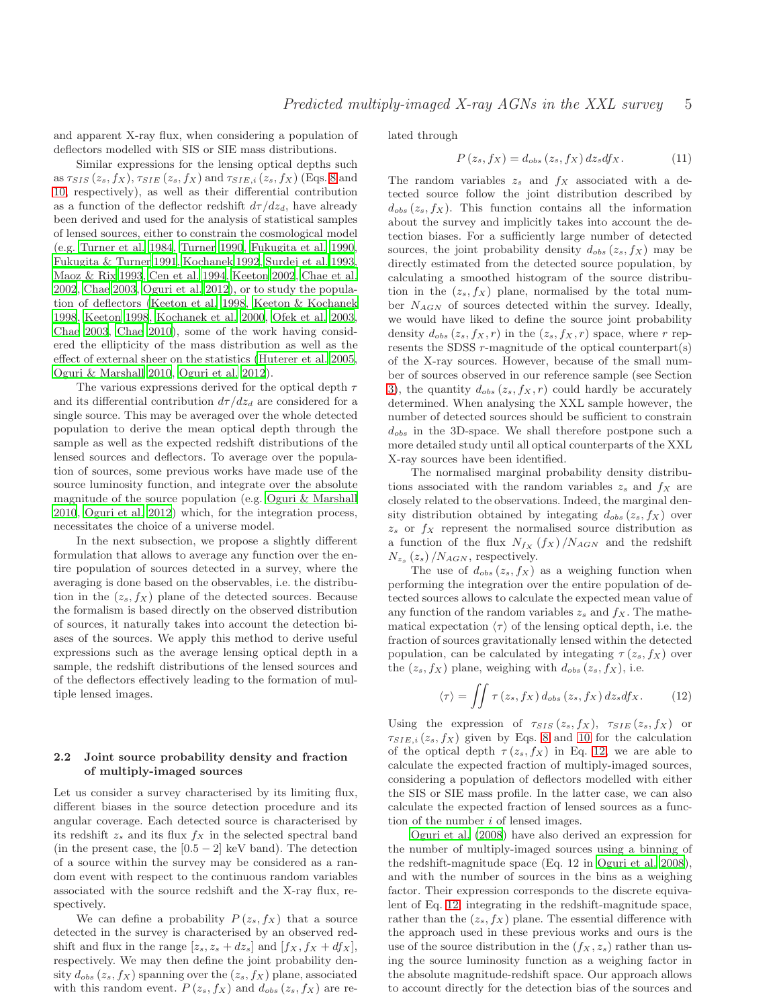and apparent X-ray flux, when considering a population of deflectors modelled with SIS or SIE mass distributions.

Similar expressions for the lensing optical depths such as  $\tau_{SIS}(z_s, f_X)$ ,  $\tau_{SIE}(z_s, f_X)$  and  $\tau_{SIE,i}(z_s, f_X)$  (Eqs. [8](#page-3-0) and [10,](#page-3-3) respectively), as well as their differential contribution as a function of the deflector redshift  $d\tau/dz_d$ , have already been derived and used for the analysis of statistical samples of lensed sources, either to constrain the cosmological model (e.g. [Turner et al. 1984,](#page-14-3) [Turner 1990](#page-14-23), [Fukugita et al. 1990,](#page-14-24) [Fukugita & Turner 1991](#page-14-9), [Kochanek 1992](#page-14-25), [Surdej et al. 1993,](#page-14-26) [Maoz & Rix 1993](#page-14-10), [Cen et al. 1994](#page-14-27), [Keeton 2002](#page-14-28), [Chae et al.](#page-14-29) [2002](#page-14-29), [Chae 2003](#page-14-13), [Oguri et al. 2012](#page-14-15)), or to study the population of deflectors [\(Keeton et al. 1998](#page-14-11), [Keeton & Kochanek](#page-14-30) [1998](#page-14-30), [Keeton 1998](#page-14-31), [Kochanek et al. 2000](#page-14-12), [Ofek et al. 2003,](#page-14-14) [Chae 2003](#page-14-13), [Chae 2010](#page-14-8)), some of the work having considered the ellipticity of the mass distribution as well as the effect of external sheer on the statistics [\(Huterer et al. 2005,](#page-14-20) [Oguri & Marshall 2010](#page-14-32), [Oguri et al. 2012\)](#page-14-15).

The various expressions derived for the optical depth  $\tau$ and its differential contribution  $d\tau/dz_d$  are considered for a single source. This may be averaged over the whole detected population to derive the mean optical depth through the sample as well as the expected redshift distributions of the lensed sources and deflectors. To average over the population of sources, some previous works have made use of the source luminosity function, and integrate over the absolute magnitude of the source population (e.g. [Oguri & Marshall](#page-14-32) [2010](#page-14-32), [Oguri et al. 2012](#page-14-15)) which, for the integration process, necessitates the choice of a universe model.

In the next subsection, we propose a slightly different formulation that allows to average any function over the entire population of sources detected in a survey, where the averaging is done based on the observables, i.e. the distribution in the  $(z_s, f_X)$  plane of the detected sources. Because the formalism is based directly on the observed distribution of sources, it naturally takes into account the detection biases of the sources. We apply this method to derive useful expressions such as the average lensing optical depth in a sample, the redshift distributions of the lensed sources and of the deflectors effectively leading to the formation of multiple lensed images.

## 2.2 Joint source probability density and fraction of multiply-imaged sources

Let us consider a survey characterised by its limiting flux, different biases in the source detection procedure and its angular coverage. Each detected source is characterised by its redshift  $z_s$  and its flux  $f_X$  in the selected spectral band (in the present case, the  $[0.5 - 2]$  keV band). The detection of a source within the survey may be considered as a random event with respect to the continuous random variables associated with the source redshift and the X-ray flux, respectively.

We can define a probability  $P(z_s, f_X)$  that a source detected in the survey is characterised by an observed redshift and flux in the range  $[z_s, z_s + dz_s]$  and  $[f_X, f_X + df_X]$ , respectively. We may then define the joint probability density  $d_{obs} (z_s, f_X)$  spanning over the  $(z_s, f_X)$  plane, associated with this random event.  $P(z_s, f_X)$  and  $d_{obs}(z_s, f_X)$  are related through

$$
P(z_s, f_X) = d_{obs}(z_s, f_X) dz_s df_X.
$$
 (11)

The random variables  $z_s$  and  $f_X$  associated with a detected source follow the joint distribution described by  $d_{obs} (z_s, f_X)$ . This function contains all the information about the survey and implicitly takes into account the detection biases. For a sufficiently large number of detected sources, the joint probability density  $d_{obs}(z_s, f_X)$  may be directly estimated from the detected source population, by calculating a smoothed histogram of the source distribution in the  $(z_s, f_X)$  plane, normalised by the total number  $N_{AGN}$  of sources detected within the survey. Ideally, we would have liked to define the source joint probability density  $d_{obs}(z_s, f_X, r)$  in the  $(z_s, f_X, r)$  space, where r represents the SDSS r-magnitude of the optical counterpart(s) of the X-ray sources. However, because of the small number of sources observed in our reference sample (see Section [3\)](#page-5-0), the quantity  $d_{obs} (z_s, f_X, r)$  could hardly be accurately determined. When analysing the XXL sample however, the number of detected sources should be sufficient to constrain  $d_{obs}$  in the 3D-space. We shall therefore postpone such a more detailed study until all optical counterparts of the XXL X-ray sources have been identified.

The normalised marginal probability density distributions associated with the random variables  $z_s$  and  $f_X$  are closely related to the observations. Indeed, the marginal density distribution obtained by integating  $d_{obs}(z_s, f_X)$  over  $z<sub>s</sub>$  or  $f<sub>X</sub>$  represent the normalised source distribution as a function of the flux  $N_{f_X} (f_X) / N_{AGN}$  and the redshift  $N_{z_s}\left(z_s\right)/N_{AGN}$ , respectively.

The use of  $d_{obs}(z_s, f_X)$  as a weighing function when performing the integration over the entire population of detected sources allows to calculate the expected mean value of any function of the random variables  $z_s$  and  $f_X$ . The mathematical expectation  $\langle \tau \rangle$  of the lensing optical depth, i.e. the fraction of sources gravitationally lensed within the detected population, can be calculated by integating  $\tau(z_s, f_X)$  over the  $(z_s, f_X)$  plane, weighing with  $d_{obs} (z_s, f_X)$ , i.e.

<span id="page-4-0"></span>
$$
\langle \tau \rangle = \iint \tau(z_s, f_X) d_{obs}(z_s, f_X) dz_s df_X.
$$
 (12)

Using the expression of  $\tau_{SIS}(z_s, f_X)$ ,  $\tau_{SIE}(z_s, f_X)$  or  $\tau_{SIE,i}(z_s, f_X)$  given by Eqs. [8](#page-3-0) and [10](#page-3-3) for the calculation of the optical depth  $\tau(z_s, f_X)$  in Eq. [12,](#page-4-0) we are able to calculate the expected fraction of multiply-imaged sources, considering a population of deflectors modelled with either the SIS or SIE mass profile. In the latter case, we can also calculate the expected fraction of lensed sources as a function of the number i of lensed images.

[Oguri et al. \(2008](#page-14-33)) have also derived an expression for the number of multiply-imaged sources using a binning of the redshift-magnitude space (Eq. 12 in [Oguri et al. 2008](#page-14-33)), and with the number of sources in the bins as a weighing factor. Their expression corresponds to the discrete equivalent of Eq. [12,](#page-4-0) integrating in the redshift-magnitude space, rather than the  $(z_s, f_X)$  plane. The essential difference with the approach used in these previous works and ours is the use of the source distribution in the  $(f_X, z_s)$  rather than using the source luminosity function as a weighing factor in the absolute magnitude-redshift space. Our approach allows to account directly for the detection bias of the sources and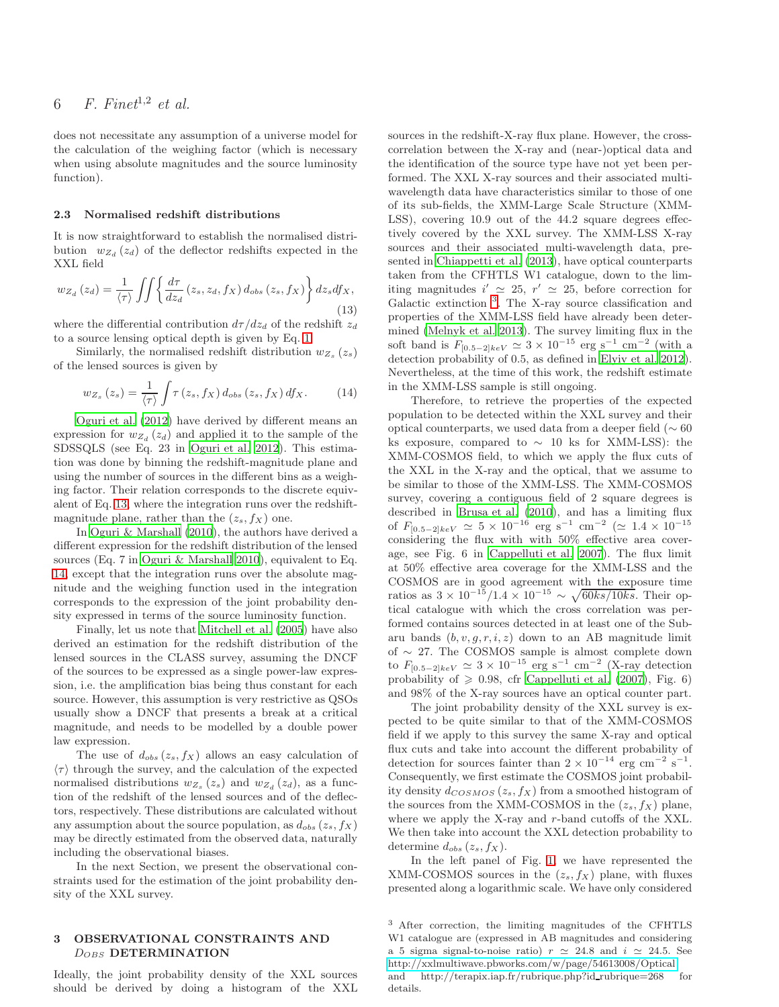does not necessitate any assumption of a universe model for the calculation of the weighing factor (which is necessary when using absolute magnitudes and the source luminosity function).

#### 2.3 Normalised redshift distributions

It is now straightforward to establish the normalised distribution  $w_{Z_d}(z_d)$  of the deflector redshifts expected in the XXL field

<span id="page-5-1"></span>
$$
w_{Z_d}(z_d) = \frac{1}{\langle \tau \rangle} \iint \left\{ \frac{d\tau}{dz_d}(z_s, z_d, f_X) d_{obs}(z_s, f_X) \right\} dz_s df_X,
$$
\n(13)

where the differential contribution  $d\tau/dz_d$  of the redshift  $z_d$ to a source lensing optical depth is given by Eq. [1.](#page-1-1)

Similarly, the normalised redshift distribution  $w_{Z_s}(z_s)$ of the lensed sources is given by

<span id="page-5-2"></span>
$$
w_{Z_s}\left(z_s\right) = \frac{1}{\langle \tau \rangle} \int \tau\left(z_s, f_X\right) d_{obs}\left(z_s, f_X\right) d f_X. \tag{14}
$$

[Oguri et al. \(2012](#page-14-15)) have derived by different means an expression for  $w_{Z_d}(z_d)$  and applied it to the sample of the SDSSQLS (see Eq. 23 in [Oguri et al. 2012](#page-14-15)). This estimation was done by binning the redshift-magnitude plane and using the number of sources in the different bins as a weighing factor. Their relation corresponds to the discrete equivalent of Eq. [13,](#page-5-1) where the integration runs over the redshiftmagnitude plane, rather than the  $(z_s, f_X)$  one.

In [Oguri & Marshall \(2010](#page-14-32)), the authors have derived a different expression for the redshift distribution of the lensed sources (Eq. 7 in [Oguri & Marshall 2010](#page-14-32)), equivalent to Eq. [14,](#page-5-2) except that the integration runs over the absolute magnitude and the weighing function used in the integration corresponds to the expression of the joint probability density expressed in terms of the source luminosity function.

Finally, let us note that [Mitchell et al. \(2005](#page-14-6)) have also derived an estimation for the redshift distribution of the lensed sources in the CLASS survey, assuming the DNCF of the sources to be expressed as a single power-law expression, i.e. the amplification bias being thus constant for each source. However, this assumption is very restrictive as QSOs usually show a DNCF that presents a break at a critical magnitude, and needs to be modelled by a double power law expression.

The use of  $d_{obs}(z_s, f_X)$  allows an easy calculation of  $\langle \tau \rangle$  through the survey, and the calculation of the expected normalised distributions  $w_{Z_s}(z_s)$  and  $w_{Z_d}(z_d)$ , as a function of the redshift of the lensed sources and of the deflectors, respectively. These distributions are calculated without any assumption about the source population, as  $d_{obs} (z_s, f_X)$ may be directly estimated from the observed data, naturally including the observational biases.

In the next Section, we present the observational constraints used for the estimation of the joint probability density of the XXL survey.

#### <span id="page-5-0"></span>3 OBSERVATIONAL CONSTRAINTS AND  $D_{OBS}$  DETERMINATION

Ideally, the joint probability density of the XXL sources should be derived by doing a histogram of the XXL sources in the redshift-X-ray flux plane. However, the crosscorrelation between the X-ray and (near-)optical data and the identification of the source type have not yet been performed. The XXL X-ray sources and their associated multiwavelength data have characteristics similar to those of one of its sub-fields, the XMM-Large Scale Structure (XMM-LSS), covering 10.9 out of the 44.2 square degrees effectively covered by the XXL survey. The XMM-LSS X-ray sources and their associated multi-wavelength data, presented in [Chiappetti et al. \(2013\)](#page-14-34), have optical counterparts taken from the CFHTLS W1 catalogue, down to the limiting magnitudes  $i' \approx 25$ ,  $r' \approx 25$ , before correction for Galactic extinction <sup>[3](#page-5-3)</sup>. The X-ray source classification and properties of the XMM-LSS field have already been determined [\(Melnyk et al. 2013](#page-14-35)). The survey limiting flux in the soft band is  $F_{[0.5-2]keV} \simeq 3 \times 10^{-15} \text{ erg s}^{-1} \text{ cm}^{-2}$  (with a detection probability of 0.5, as defined in [Elyiv et al. 2012](#page-14-36)). Nevertheless, at the time of this work, the redshift estimate in the XMM-LSS sample is still ongoing.

Therefore, to retrieve the properties of the expected population to be detected within the XXL survey and their optical counterparts, we used data from a deeper field ( $\sim 60$ ) ks exposure, compared to  $\sim$  10 ks for XMM-LSS): the XMM-COSMOS field, to which we apply the flux cuts of the XXL in the X-ray and the optical, that we assume to be similar to those of the XMM-LSS. The XMM-COSMOS survey, covering a contiguous field of 2 square degrees is described in [Brusa et al. \(2010](#page-13-1)), and has a limiting flux of  $F_{[0.5-2]keV} \simeq 5 \times 10^{-16}$  erg s<sup>-1</sup> cm<sup>-2</sup> ( $\simeq 1.4 \times 10^{-15}$ considering the flux with with 50% effective area coverage, see Fig. 6 in [Cappelluti et al. 2007\)](#page-14-37). The flux limit at 50% effective area coverage for the XMM-LSS and the COSMOS are in good agreement with the exposure time ratios as  $3 \times 10^{-15} / 1.4 \times 10^{-15} \sim \sqrt{60} k s / 10 k s$ . Their optical catalogue with which the cross correlation was performed contains sources detected in at least one of the Subaru bands  $(b, v, q, r, i, z)$  down to an AB magnitude limit of ∼ 27. The COSMOS sample is almost complete down to  $F_{[0.5-2]keV} \simeq 3 \times 10^{-15}$  erg s<sup>-1</sup> cm<sup>-2</sup> (X-ray detection probability of  $\geq 0.98$ , cfr [Cappelluti et al. \(2007\)](#page-14-37), Fig. 6) and 98% of the X-ray sources have an optical counter part.

The joint probability density of the XXL survey is expected to be quite similar to that of the XMM-COSMOS field if we apply to this survey the same X-ray and optical flux cuts and take into account the different probability of detection for sources fainter than  $2 \times 10^{-14}$  erg cm<sup>-2</sup> s<sup>-1</sup>. Consequently, we first estimate the COSMOS joint probability density  $d_{COSMOS}(z_s, f_X)$  from a smoothed histogram of the sources from the XMM-COSMOS in the  $(z_s, f_X)$  plane, where we apply the X-ray and r-band cutoffs of the XXL. We then take into account the XXL detection probability to determine  $d_{obs} (z_s, f_X)$ .

In the left panel of Fig. [1,](#page-6-0) we have represented the XMM-COSMOS sources in the  $(z_s, f_X)$  plane, with fluxes presented along a logarithmic scale. We have only considered

<span id="page-5-3"></span><sup>3</sup> After correction, the limiting magnitudes of the CFHTLS W1 catalogue are (expressed in AB magnitudes and considering a 5 sigma signal-to-noise ratio)  $r \simeq 24.8$  and  $i \simeq 24.5$ . See <http://xxlmultiwave.pbworks.com/w/page/54613008/Optical>

and http://terapix.iap.fr/rubrique.php?id\_rubrique=268 for details.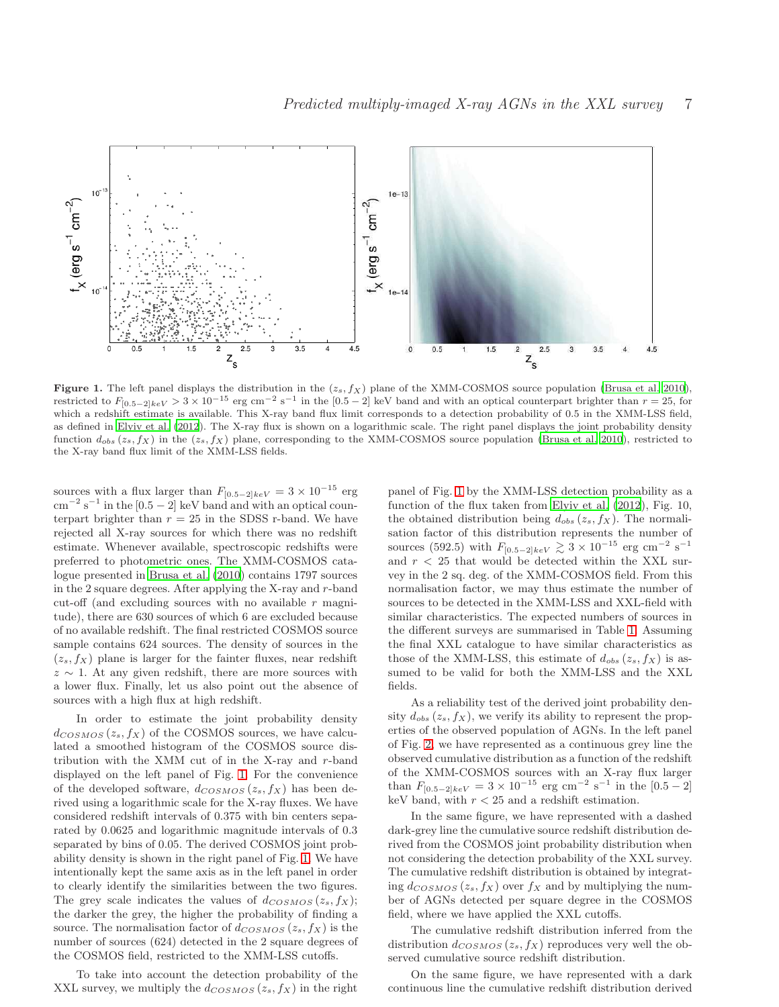

<span id="page-6-0"></span>Figure 1. The left panel displays the distribution in the  $(z_s, f_X)$  plane of the XMM-COSMOS source population [\(Brusa et al. 2010](#page-13-1)), restricted to  $F_{[0.5-2]keV} > 3 \times 10^{-15}$  erg cm<sup>-2</sup> s<sup>-1</sup> in the [0.5 - 2] keV band and with an optical counterpart brighter than  $r = 25$ , for which a redshift estimate is available. This X-ray band flux limit corresponds to a detection probability of 0.5 in the XMM-LSS field, as defined in [Elyiv et al. \(2012](#page-14-36)). The X-ray flux is shown on a logarithmic scale. The right panel displays the joint probability density function  $d_{obs} (z_s, f_X)$  in the  $(z_s, f_X)$  plane, corresponding to the XMM-COSMOS source population [\(Brusa et al. 2010](#page-13-1)), restricted to the X-ray band flux limit of the XMM-LSS fields.

sources with a flux larger than  $F_{[0.5-2]keV} = 3 \times 10^{-15}$  erg  $\text{cm}^{-2} \text{ s}^{-1}$  in the [0.5 – 2] keV band and with an optical counterpart brighter than  $r = 25$  in the SDSS r-band. We have rejected all X-ray sources for which there was no redshift estimate. Whenever available, spectroscopic redshifts were preferred to photometric ones. The XMM-COSMOS catalogue presented in [Brusa et al. \(2010](#page-13-1)) contains 1797 sources in the 2 square degrees. After applying the X-ray and r-band cut-off (and excluding sources with no available  $r$  magnitude), there are 630 sources of which 6 are excluded because of no available redshift. The final restricted COSMOS source sample contains 624 sources. The density of sources in the  $(z_s, f_X)$  plane is larger for the fainter fluxes, near redshift  $z \sim 1$ . At any given redshift, there are more sources with a lower flux. Finally, let us also point out the absence of sources with a high flux at high redshift.

In order to estimate the joint probability density  $d_{COSMOS}(z_s, f_X)$  of the COSMOS sources, we have calculated a smoothed histogram of the COSMOS source distribution with the XMM cut of in the X-ray and r-band displayed on the left panel of Fig. [1.](#page-6-0) For the convenience of the developed software,  $d_{COSMOS}(z_s, f_X)$  has been derived using a logarithmic scale for the X-ray fluxes. We have considered redshift intervals of 0.375 with bin centers separated by 0.0625 and logarithmic magnitude intervals of 0.3 separated by bins of 0.05. The derived COSMOS joint probability density is shown in the right panel of Fig. [1.](#page-6-0) We have intentionally kept the same axis as in the left panel in order to clearly identify the similarities between the two figures. The grey scale indicates the values of  $d_{COSMOS}(z_s, f_X);$ the darker the grey, the higher the probability of finding a source. The normalisation factor of  $d_{COSMOS}(z_s, f_X)$  is the number of sources (624) detected in the 2 square degrees of the COSMOS field, restricted to the XMM-LSS cutoffs.

To take into account the detection probability of the XXL survey, we multiply the  $d_{COSMOS}(z_s, f_X)$  in the right

panel of Fig. [1](#page-6-0) by the XMM-LSS detection probability as a function of the flux taken from [Elyiv et al. \(2012](#page-14-36)), Fig. 10, the obtained distribution being  $d_{obs} (z_s, f_X)$ . The normalisation factor of this distribution represents the number of sources (592.5) with  $F_{[0.5-2]keV} \gtrsim 3 \times 10^{-15}$  erg cm<sup>-2</sup> s<sup>-1</sup> and  $r < 25$  that would be detected within the XXL survey in the 2 sq. deg. of the XMM-COSMOS field. From this normalisation factor, we may thus estimate the number of sources to be detected in the XMM-LSS and XXL-field with similar characteristics. The expected numbers of sources in the different surveys are summarised in Table [1.](#page-9-0) Assuming the final XXL catalogue to have similar characteristics as those of the XMM-LSS, this estimate of  $d_{obs} (z_s, f_X)$  is assumed to be valid for both the XMM-LSS and the XXL fields.

As a reliability test of the derived joint probability density  $d_{obs} (z_s, f_X)$ , we verify its ability to represent the properties of the observed population of AGNs. In the left panel of Fig. [2,](#page-7-1) we have represented as a continuous grey line the observed cumulative distribution as a function of the redshift of the XMM-COSMOS sources with an X-ray flux larger than  $F_{[0.5-2]keV} = 3 \times 10^{-15}$  erg cm<sup>-2</sup> s<sup>-1</sup> in the [0.5 - 2] keV band, with  $r < 25$  and a redshift estimation.

In the same figure, we have represented with a dashed dark-grey line the cumulative source redshift distribution derived from the COSMOS joint probability distribution when not considering the detection probability of the XXL survey. The cumulative redshift distribution is obtained by integrating  $d_{COSMOS}(z_s, f_X)$  over  $f_X$  and by multiplying the number of AGNs detected per square degree in the COSMOS field, where we have applied the XXL cutoffs.

The cumulative redshift distribution inferred from the distribution  $d_{COSMOS}(z_s, f_X)$  reproduces very well the observed cumulative source redshift distribution.

On the same figure, we have represented with a dark continuous line the cumulative redshift distribution derived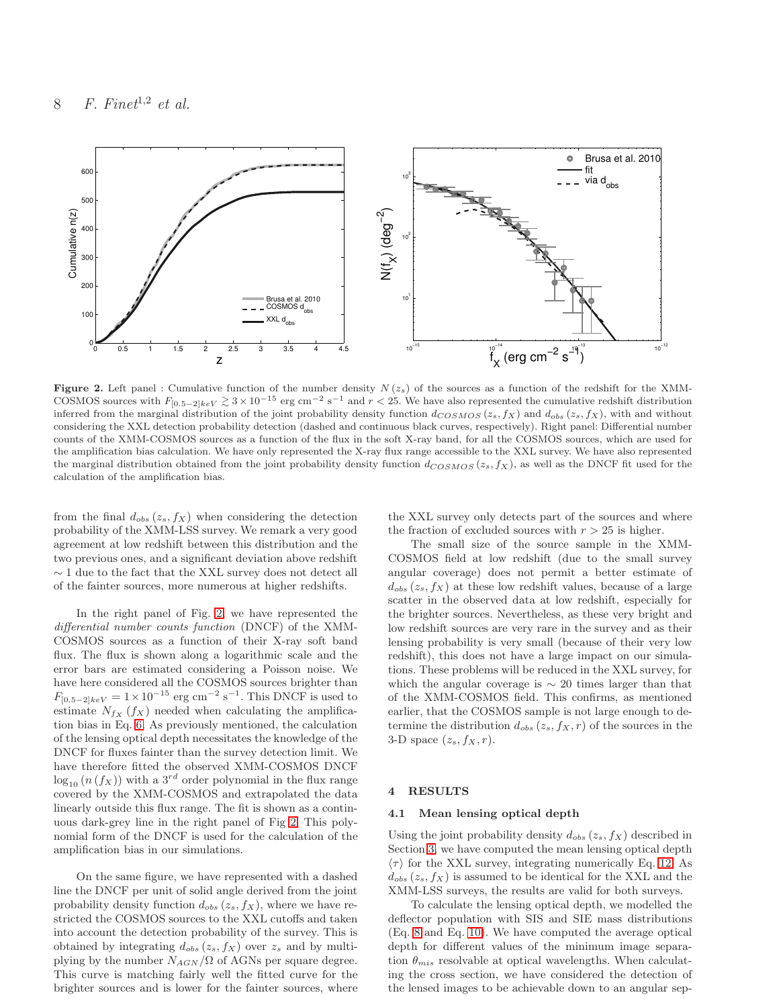

<span id="page-7-1"></span>Figure 2. Left panel : Cumulative function of the number density  $N(z<sub>s</sub>)$  of the sources as a function of the redshift for the XMM-COSMOS sources with  $F_{[0.5-2]keV} \gtrsim 3 \times 10^{-15}$  erg cm<sup>-2</sup> s<sup>-1</sup> and  $r < 25$ . We have also represented the cumulative redshift distribution inferred from the marginal distribution of the joint probability density function  $d_{COSMOS}(z_s, f_X)$  and  $d_{obs}(z_s, f_X)$ , with and without considering the XXL detection probability detection (dashed and continuous black curves, respectively). Right panel: Differential number counts of the XMM-COSMOS sources as a function of the flux in the soft X-ray band, for all the COSMOS sources, which are used for the amplification bias calculation. We have only represented the X-ray flux range accessible to the XXL survey. We have also represented the marginal distribution obtained from the joint probability density function  $d_{COSMOS}(z_s, f_X)$ , as well as the DNCF fit used for the calculation of the amplification bias.

from the final  $d_{obs} (z_s, f_X)$  when considering the detection probability of the XMM-LSS survey. We remark a very good agreement at low redshift between this distribution and the two previous ones, and a significant deviation above redshift ∼ 1 due to the fact that the XXL survey does not detect all of the fainter sources, more numerous at higher redshifts.

In the right panel of Fig. [2,](#page-7-1) we have represented the differential number counts function (DNCF) of the XMM-COSMOS sources as a function of their X-ray soft band flux. The flux is shown along a logarithmic scale and the error bars are estimated considering a Poisson noise. We have here considered all the COSMOS sources brighter than  $F_{[0.5-2]keV} = 1 \times 10^{-15}$  erg cm<sup>-2</sup> s<sup>-1</sup>. This DNCF is used to estimate  $N_{f_X}$  ( $f_X$ ) needed when calculating the amplification bias in Eq. [6.](#page-2-1) As previously mentioned, the calculation of the lensing optical depth necessitates the knowledge of the DNCF for fluxes fainter than the survey detection limit. We have therefore fitted the observed XMM-COSMOS DNCF  $\log_{10} (n(f_X))$  with a 3<sup>rd</sup> order polynomial in the flux range covered by the XMM-COSMOS and extrapolated the data linearly outside this flux range. The fit is shown as a continuous dark-grey line in the right panel of Fig [2.](#page-7-1) This polynomial form of the DNCF is used for the calculation of the amplification bias in our simulations.

On the same figure, we have represented with a dashed line the DNCF per unit of solid angle derived from the joint probability density function  $d_{obs} (z_s, f_X)$ , where we have restricted the COSMOS sources to the XXL cutoffs and taken into account the detection probability of the survey. This is obtained by integrating  $d_{obs} (z_s, f_X)$  over  $z_s$  and by multiplying by the number  $N_{AGN}/\Omega$  of AGNs per square degree. This curve is matching fairly well the fitted curve for the brighter sources and is lower for the fainter sources, where

the XXL survey only detects part of the sources and where the fraction of excluded sources with  $r > 25$  is higher.

The small size of the source sample in the XMM-COSMOS field at low redshift (due to the small survey angular coverage) does not permit a better estimate of  $d_{obs}(z_s, f_X)$  at these low redshift values, because of a large scatter in the observed data at low redshift, especially for the brighter sources. Nevertheless, as these very bright and low redshift sources are very rare in the survey and as their lensing probability is very small (because of their very low redshift), this does not have a large impact on our simulations. These problems will be reduced in the XXL survey, for which the angular coverage is  $\sim$  20 times larger than that of the XMM-COSMOS field. This confirms, as mentioned earlier, that the COSMOS sample is not large enough to determine the distribution  $d_{obs} (z_s, f_X, r)$  of the sources in the 3-D space  $(z_s, f_X, r)$ .

#### <span id="page-7-0"></span>4 RESULTS

#### 4.1 Mean lensing optical depth

Using the joint probability density  $d_{obs} (z_s, f_X)$  described in Section [3,](#page-5-0) we have computed the mean lensing optical depth  $\langle \tau \rangle$  for the XXL survey, integrating numerically Eq. [12.](#page-4-0) As  $d_{obs} (z_s, f_X)$  is assumed to be identical for the XXL and the XMM-LSS surveys, the results are valid for both surveys.

To calculate the lensing optical depth, we modelled the deflector population with SIS and SIE mass distributions (Eq. [8](#page-3-0) and Eq. [10\)](#page-3-3). We have computed the average optical depth for different values of the minimum image separation  $\theta_{mis}$  resolvable at optical wavelengths. When calculating the cross section, we have considered the detection of the lensed images to be achievable down to an angular sep-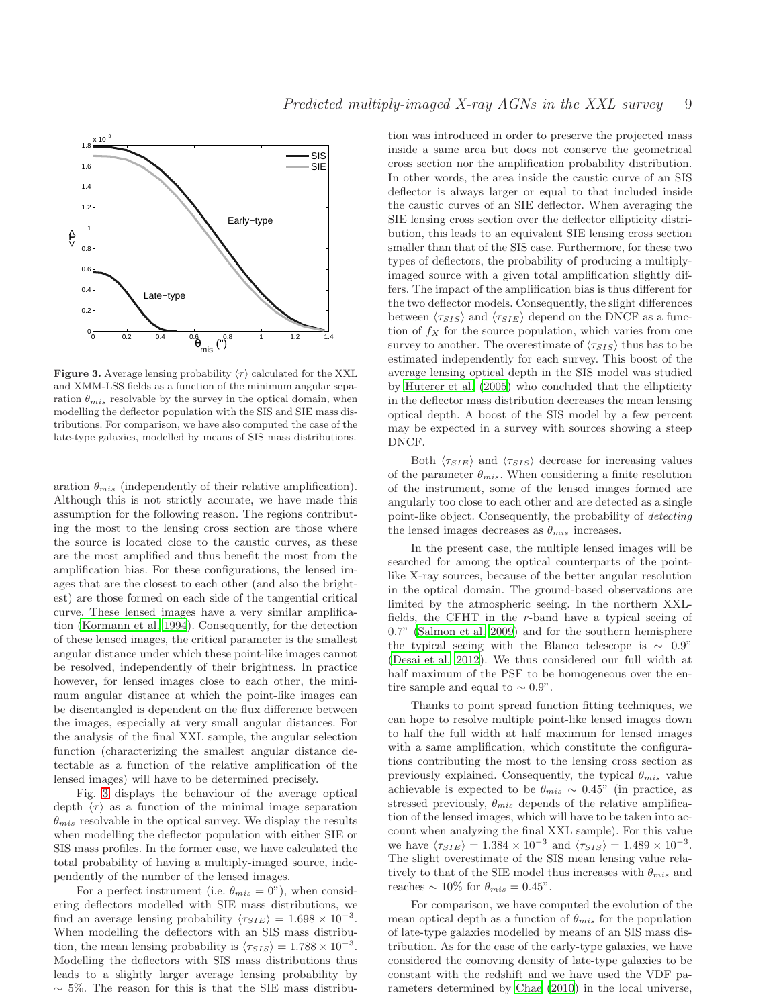

<span id="page-8-0"></span>**Figure 3.** Average lensing probability  $\langle \tau \rangle$  calculated for the XXL and XMM-LSS fields as a function of the minimum angular separation  $\theta_{mis}$  resolvable by the survey in the optical domain, when modelling the deflector population with the SIS and SIE mass distributions. For comparison, we have also computed the case of the late-type galaxies, modelled by means of SIS mass distributions.

aration  $\theta_{mis}$  (independently of their relative amplification). Although this is not strictly accurate, we have made this assumption for the following reason. The regions contributing the most to the lensing cross section are those where the source is located close to the caustic curves, as these are the most amplified and thus benefit the most from the amplification bias. For these configurations, the lensed images that are the closest to each other (and also the brightest) are those formed on each side of the tangential critical curve. These lensed images have a very similar amplification [\(Kormann et al. 1994](#page-14-19)). Consequently, for the detection of these lensed images, the critical parameter is the smallest angular distance under which these point-like images cannot be resolved, independently of their brightness. In practice however, for lensed images close to each other, the minimum angular distance at which the point-like images can be disentangled is dependent on the flux difference between the images, especially at very small angular distances. For the analysis of the final XXL sample, the angular selection function (characterizing the smallest angular distance detectable as a function of the relative amplification of the lensed images) will have to be determined precisely.

Fig. [3](#page-8-0) displays the behaviour of the average optical depth  $\langle \tau \rangle$  as a function of the minimal image separation  $\theta_{mis}$  resolvable in the optical survey. We display the results when modelling the deflector population with either SIE or SIS mass profiles. In the former case, we have calculated the total probability of having a multiply-imaged source, independently of the number of the lensed images.

For a perfect instrument (i.e.  $\theta_{mis} = 0$ "), when considering deflectors modelled with SIE mass distributions, we find an average lensing probability  $\langle \tau_{SIE} \rangle = 1.698 \times 10^{-3}$ . When modelling the deflectors with an SIS mass distribution, the mean lensing probability is  $\langle \tau_{SIS} \rangle = 1.788 \times 10^{-3}$ . Modelling the deflectors with SIS mass distributions thus leads to a slightly larger average lensing probability by  $\sim$  5%. The reason for this is that the SIE mass distribu-

tion was introduced in order to preserve the projected mass inside a same area but does not conserve the geometrical cross section nor the amplification probability distribution. In other words, the area inside the caustic curve of an SIS deflector is always larger or equal to that included inside the caustic curves of an SIE deflector. When averaging the SIE lensing cross section over the deflector ellipticity distribution, this leads to an equivalent SIE lensing cross section smaller than that of the SIS case. Furthermore, for these two types of deflectors, the probability of producing a multiplyimaged source with a given total amplification slightly differs. The impact of the amplification bias is thus different for the two deflector models. Consequently, the slight differences between  $\langle \tau_{SIS} \rangle$  and  $\langle \tau_{SIE} \rangle$  depend on the DNCF as a function of  $f_X$  for the source population, which varies from one survey to another. The overestimate of  $\langle \tau_{SIS} \rangle$  thus has to be estimated independently for each survey. This boost of the average lensing optical depth in the SIS model was studied by [Huterer et al. \(2005\)](#page-14-20) who concluded that the ellipticity in the deflector mass distribution decreases the mean lensing optical depth. A boost of the SIS model by a few percent may be expected in a survey with sources showing a steep DNCF.

Both  $\langle \tau_{SIE} \rangle$  and  $\langle \tau_{SIS} \rangle$  decrease for increasing values of the parameter  $\theta_{mis}$ . When considering a finite resolution of the instrument, some of the lensed images formed are angularly too close to each other and are detected as a single point-like object. Consequently, the probability of detecting the lensed images decreases as  $\theta_{mis}$  increases.

In the present case, the multiple lensed images will be searched for among the optical counterparts of the pointlike X-ray sources, because of the better angular resolution in the optical domain. The ground-based observations are limited by the atmospheric seeing. In the northern XXLfields, the CFHT in the r-band have a typical seeing of 0.7" [\(Salmon et al. 2009\)](#page-14-38) and for the southern hemisphere the typical seeing with the Blanco telescope is  $\sim 0.9$ " [\(Desai et al. 2012](#page-14-39)). We thus considered our full width at half maximum of the PSF to be homogeneous over the entire sample and equal to  $\sim 0.9$ ".

Thanks to point spread function fitting techniques, we can hope to resolve multiple point-like lensed images down to half the full width at half maximum for lensed images with a same amplification, which constitute the configurations contributing the most to the lensing cross section as previously explained. Consequently, the typical  $\theta_{mis}$  value achievable is expected to be  $\theta_{mis} \sim 0.45$ " (in practice, as stressed previously,  $\theta_{mis}$  depends of the relative amplification of the lensed images, which will have to be taken into account when analyzing the final XXL sample). For this value we have  $\langle \tau_{SIE} \rangle = 1.384 \times 10^{-3}$  and  $\langle \tau_{SIS} \rangle = 1.489 \times 10^{-3}$ . The slight overestimate of the SIS mean lensing value relatively to that of the SIE model thus increases with  $\theta_{mis}$  and reaches ~ 10% for  $\theta_{mis} = 0.45$ ".

For comparison, we have computed the evolution of the mean optical depth as a function of  $\theta_{mis}$  for the population of late-type galaxies modelled by means of an SIS mass distribution. As for the case of the early-type galaxies, we have considered the comoving density of late-type galaxies to be constant with the redshift and we have used the VDF parameters determined by [Chae \(2010\)](#page-14-8) in the local universe,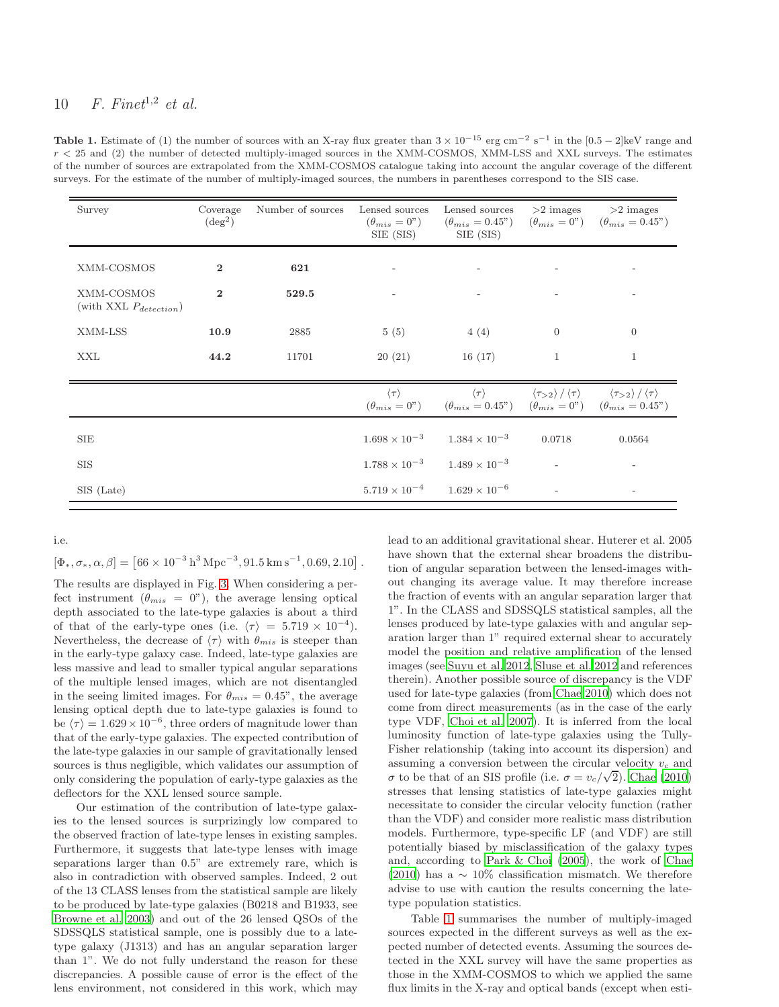<span id="page-9-0"></span>Table 1. Estimate of (1) the number of sources with an X-ray flux greater than  $3 \times 10^{-15}$  erg cm<sup>-2</sup> s<sup>-1</sup> in the [0.5 – 2]keV range and  $r < 25$  and (2) the number of detected multiply-imaged sources in the XMM-COSMOS, XMM-LSS and XXL surveys. The estimates of the number of sources are extrapolated from the XMM-COSMOS catalogue taking into account the angular coverage of the different surveys. For the estimate of the number of multiply-imaged sources, the numbers in parentheses correspond to the SIS case.

| Survey                                    | Coverage<br>$(\text{deg}^2)$ | Number of sources | Lensed sources<br>$(\theta_{mis} = 0")$<br>SIE (SIS) | Lensed sources<br>$(\theta_{mis} = 0.45)$ $(\theta_{mis} = 0)$ $(\theta_{mis} = 0.45)$<br>SIE (SIS)                       | $>2$ images                                                               | $>2$ images                                        |
|-------------------------------------------|------------------------------|-------------------|------------------------------------------------------|---------------------------------------------------------------------------------------------------------------------------|---------------------------------------------------------------------------|----------------------------------------------------|
| XMM-COSMOS                                | $\bf{2}$                     | 621               |                                                      | $\overline{\phantom{a}}$                                                                                                  |                                                                           |                                                    |
| XMM-COSMOS<br>(with XXL $P_{detection}$ ) | $\mathbf{2}$                 | 529.5             |                                                      | $\overline{\phantom{a}}$                                                                                                  |                                                                           |                                                    |
| XMM-LSS                                   | 10.9                         | 2885              | 5(5)                                                 | 4(4)                                                                                                                      | $\overline{0}$                                                            | $\overline{0}$                                     |
| XXL                                       | 44.2                         | 11701             | 20(21)                                               | 16(17)                                                                                                                    | $\mathbf{1}$                                                              | $\mathbf{1}$                                       |
|                                           |                              |                   | $\langle \tau \rangle$                               | $(\theta_{mis} = 0^{\circ})$ $(\theta_{mis} = 0.45^{\circ})$ $(\theta_{mis} = 0^{\circ})$ $(\theta_{mis} = 0.45^{\circ})$ | $\langle \tau \rangle$ $\langle \tau_{>2} \rangle / \langle \tau \rangle$ | $\langle \tau_{>2} \rangle / \langle \tau \rangle$ |
| SIE                                       |                              |                   | $1.698 \times 10^{-3}$                               | $1.384 \times 10^{-3}$                                                                                                    | 0.0718                                                                    | 0.0564                                             |
| <b>SIS</b>                                |                              |                   | $1.788 \times 10^{-3}$                               | $1.489 \times 10^{-3}$                                                                                                    |                                                                           |                                                    |
| SIS (Late)                                |                              |                   | $5.719 \times 10^{-4}$                               | $1.629 \times 10^{-6}$                                                                                                    |                                                                           |                                                    |

i.e.

 $[\Phi_*, \sigma_*, \alpha, \beta] = [66 \times 10^{-3} \,\mathrm{h}^3 \,\mathrm{Mpc}^{-3}, 91.5 \,\mathrm{km \, s}^{-1}, 0.69, 2.10].$ 

The results are displayed in Fig. [3.](#page-8-0) When considering a perfect instrument  $(\theta_{mis} = 0)$ , the average lensing optical depth associated to the late-type galaxies is about a third of that of the early-type ones (i.e.  $\langle \tau \rangle = 5.719 \times 10^{-4}$ ). Nevertheless, the decrease of  $\langle \tau \rangle$  with  $\theta_{mis}$  is steeper than in the early-type galaxy case. Indeed, late-type galaxies are less massive and lead to smaller typical angular separations of the multiple lensed images, which are not disentangled in the seeing limited images. For  $\theta_{mis} = 0.45$ ", the average lensing optical depth due to late-type galaxies is found to be  $\langle \tau \rangle = 1.629 \times 10^{-6}$ , three orders of magnitude lower than that of the early-type galaxies. The expected contribution of the late-type galaxies in our sample of gravitationally lensed sources is thus negligible, which validates our assumption of only considering the population of early-type galaxies as the deflectors for the XXL lensed source sample.

Our estimation of the contribution of late-type galaxies to the lensed sources is surprizingly low compared to the observed fraction of late-type lenses in existing samples. Furthermore, it suggests that late-type lenses with image separations larger than 0.5" are extremely rare, which is also in contradiction with observed samples. Indeed, 2 out of the 13 CLASS lenses from the statistical sample are likely to be produced by late-type galaxies (B0218 and B1933, see [Browne et al. 2003](#page-13-2)) and out of the 26 lensed QSOs of the SDSSQLS statistical sample, one is possibly due to a latetype galaxy (J1313) and has an angular separation larger than 1". We do not fully understand the reason for these discrepancies. A possible cause of error is the effect of the lens environment, not considered in this work, which may

lead to an additional gravitational shear. Huterer et al. 2005 have shown that the external shear broadens the distribution of angular separation between the lensed-images without changing its average value. It may therefore increase the fraction of events with an angular separation larger that 1". In the CLASS and SDSSQLS statistical samples, all the lenses produced by late-type galaxies with and angular separation larger than 1" required external shear to accurately model the position and relative amplification of the lensed images (see [Suyu et al. 2012](#page-14-40), [Sluse et al. 2012](#page-14-22) and references therein). Another possible source of discrepancy is the VDF used for late-type galaxies (from [Chae 2010](#page-14-8)) which does not come from direct measurements (as in the case of the early type VDF, [Choi et al. 2007\)](#page-14-7). It is inferred from the local luminosity function of late-type galaxies using the Tully-Fisher relationship (taking into account its dispersion) and assuming a conversion between the circular velocity  $v_c$  and σ to be that of an SIS profile (i.e.  $\sigma = v_c/\sqrt{2}$ ). [Chae \(2010](#page-14-8)) stresses that lensing statistics of late-type galaxies might necessitate to consider the circular velocity function (rather than the VDF) and consider more realistic mass distribution models. Furthermore, type-specific LF (and VDF) are still potentially biased by misclassification of the galaxy types and, according to [Park & Choi \(2005](#page-14-41)), the work of [Chae](#page-14-8) [\(2010](#page-14-8)) has a  $\sim 10\%$  classification mismatch. We therefore advise to use with caution the results concerning the latetype population statistics.

Table [1](#page-9-0) summarises the number of multiply-imaged sources expected in the different surveys as well as the expected number of detected events. Assuming the sources detected in the XXL survey will have the same properties as those in the XMM-COSMOS to which we applied the same flux limits in the X-ray and optical bands (except when esti-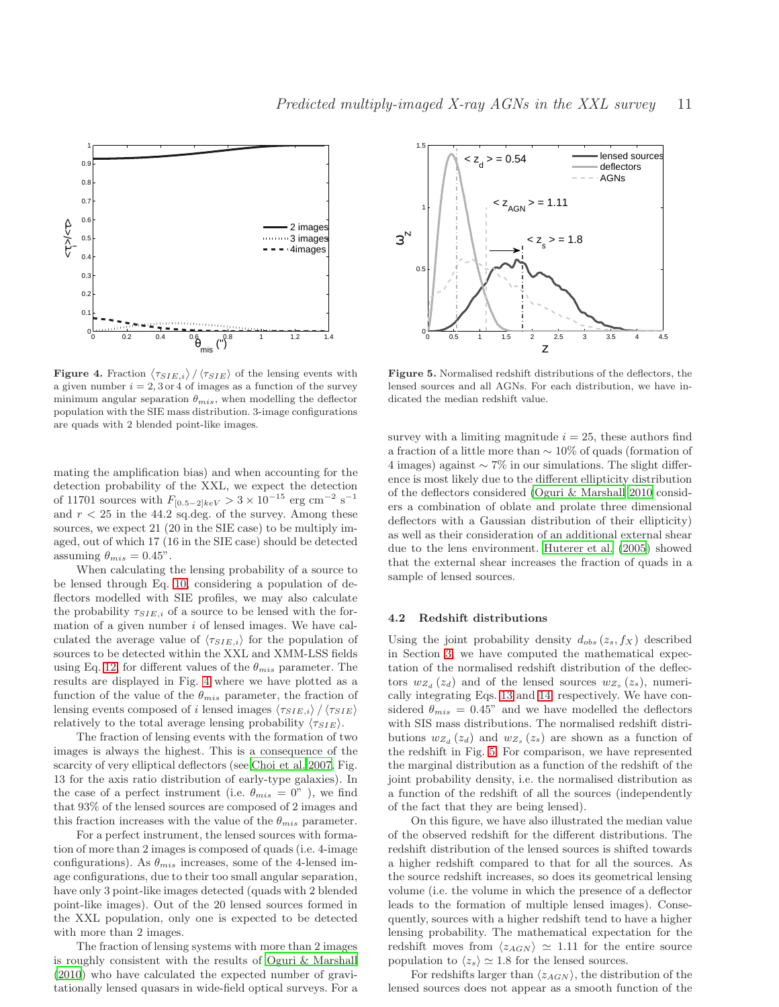

<span id="page-10-0"></span>**Figure 4.** Fraction  $\langle \tau_{SIE,i} \rangle / \langle \tau_{SIE} \rangle$  of the lensing events with a given number  $i = 2, 3$  or 4 of images as a function of the survey minimum angular separation  $\theta_{mis}$ , when modelling the deflector population with the SIE mass distribution. 3-image configurations are quads with 2 blended point-like images.

mating the amplification bias) and when accounting for the detection probability of the XXL, we expect the detection of 11701 sources with  $F_{[0.5-2]keV} > 3 \times 10^{-15}$  erg cm<sup>-2</sup> s<sup>-1</sup> and  $r < 25$  in the 44.2 sq.deg. of the survey. Among these sources, we expect 21 (20 in the SIE case) to be multiply imaged, out of which 17 (16 in the SIE case) should be detected assuming  $\theta_{mis} = 0.45$ ".

When calculating the lensing probability of a source to be lensed through Eq. [10,](#page-3-3) considering a population of deflectors modelled with SIE profiles, we may also calculate the probability  $\tau_{SIE,i}$  of a source to be lensed with the formation of a given number  $i$  of lensed images. We have calculated the average value of  $\langle \tau_{SIE,i} \rangle$  for the population of sources to be detected within the XXL and XMM-LSS fields using Eq. [12,](#page-4-0) for different values of the  $\theta_{mis}$  parameter. The results are displayed in Fig. [4](#page-10-0) where we have plotted as a function of the value of the  $\theta_{mis}$  parameter, the fraction of lensing events composed of i lensed images  $\langle \tau_{SIE,i} \rangle / \langle \tau_{SIE} \rangle$ relatively to the total average lensing probability  $\langle \tau_{SIE} \rangle$ .

The fraction of lensing events with the formation of two images is always the highest. This is a consequence of the scarcity of very elliptical deflectors (see [Choi et al. 2007,](#page-14-7) Fig. 13 for the axis ratio distribution of early-type galaxies). In the case of a perfect instrument (i.e.  $\theta_{mis} = 0$ "), we find that 93% of the lensed sources are composed of 2 images and this fraction increases with the value of the  $\theta_{mis}$  parameter.

For a perfect instrument, the lensed sources with formation of more than 2 images is composed of quads (i.e. 4-image configurations). As  $\theta_{mis}$  increases, some of the 4-lensed image configurations, due to their too small angular separation, have only 3 point-like images detected (quads with 2 blended point-like images). Out of the 20 lensed sources formed in the XXL population, only one is expected to be detected with more than 2 images.

The fraction of lensing systems with more than 2 images is roughly consistent with the results of [Oguri & Marshall](#page-14-32) [\(2010](#page-14-32)) who have calculated the expected number of gravitationally lensed quasars in wide-field optical surveys. For a



<span id="page-10-1"></span>Figure 5. Normalised redshift distributions of the deflectors, the lensed sources and all AGNs. For each distribution, we have indicated the median redshift value.

survey with a limiting magnitude  $i = 25$ , these authors find a fraction of a little more than ∼ 10% of quads (formation of 4 images) against  $\sim$  7% in our simulations. The slight difference is most likely due to the different ellipticity distribution of the deflectors considered [\(Oguri & Marshall 2010](#page-14-32) considers a combination of oblate and prolate three dimensional deflectors with a Gaussian distribution of their ellipticity) as well as their consideration of an additional external shear due to the lens environment. [Huterer et al. \(2005](#page-14-20)) showed that the external shear increases the fraction of quads in a sample of lensed sources.

#### 4.2 Redshift distributions

Using the joint probability density  $d_{obs}(z_s, f_X)$  described in Section [3,](#page-5-0) we have computed the mathematical expectation of the normalised redshift distribution of the deflectors  $w_{Z_d}(z_d)$  and of the lensed sources  $w_{Z_s}(z_s)$ , numerically integrating Eqs. [13](#page-5-1) and [14,](#page-5-2) respectively. We have considered  $\theta_{mis} = 0.45$ " and we have modelled the deflectors with SIS mass distributions. The normalised redshift distributions  $w_{Z_d}(z_d)$  and  $w_{Z_s}(z_s)$  are shown as a function of the redshift in Fig. [5.](#page-10-1) For comparison, we have represented the marginal distribution as a function of the redshift of the joint probability density, i.e. the normalised distribution as a function of the redshift of all the sources (independently of the fact that they are being lensed).

On this figure, we have also illustrated the median value of the observed redshift for the different distributions. The redshift distribution of the lensed sources is shifted towards a higher redshift compared to that for all the sources. As the source redshift increases, so does its geometrical lensing volume (i.e. the volume in which the presence of a deflector leads to the formation of multiple lensed images). Consequently, sources with a higher redshift tend to have a higher lensing probability. The mathematical expectation for the redshift moves from  $\langle z_{AGN} \rangle \simeq 1.11$  for the entire source population to  $\langle z_s \rangle \simeq 1.8$  for the lensed sources.

For redshifts larger than  $\langle z_{AGN} \rangle$ , the distribution of the lensed sources does not appear as a smooth function of the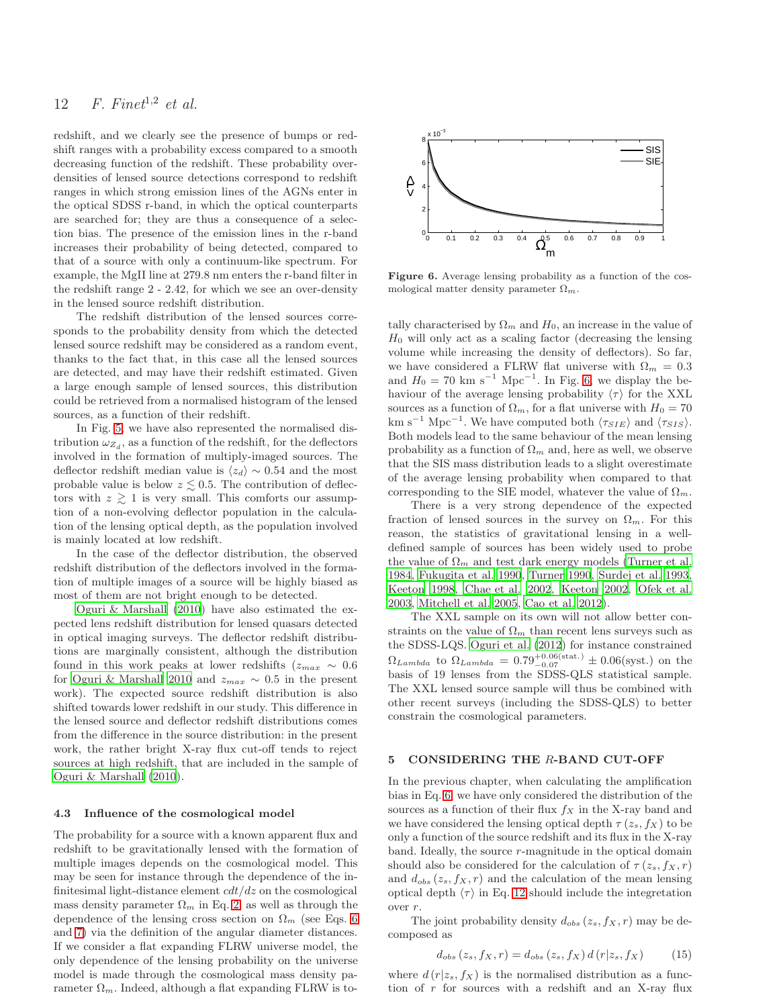redshift, and we clearly see the presence of bumps or redshift ranges with a probability excess compared to a smooth decreasing function of the redshift. These probability overdensities of lensed source detections correspond to redshift ranges in which strong emission lines of the AGNs enter in the optical SDSS r-band, in which the optical counterparts are searched for; they are thus a consequence of a selection bias. The presence of the emission lines in the r-band increases their probability of being detected, compared to that of a source with only a continuum-like spectrum. For example, the MgII line at 279.8 nm enters the r-band filter in the redshift range 2 - 2.42, for which we see an over-density in the lensed source redshift distribution.

The redshift distribution of the lensed sources corresponds to the probability density from which the detected lensed source redshift may be considered as a random event, thanks to the fact that, in this case all the lensed sources are detected, and may have their redshift estimated. Given a large enough sample of lensed sources, this distribution could be retrieved from a normalised histogram of the lensed sources, as a function of their redshift.

In Fig. [5,](#page-10-1) we have also represented the normalised distribution  $\omega_{Z_d}$ , as a function of the redshift, for the deflectors involved in the formation of multiply-imaged sources. The deflector redshift median value is  $\langle z_d \rangle \sim 0.54$  and the most probable value is below  $z \leq 0.5$ . The contribution of deflectors with  $z \geq 1$  is very small. This comforts our assumption of a non-evolving deflector population in the calculation of the lensing optical depth, as the population involved is mainly located at low redshift.

In the case of the deflector distribution, the observed redshift distribution of the deflectors involved in the formation of multiple images of a source will be highly biased as most of them are not bright enough to be detected.

[Oguri & Marshall \(2010](#page-14-32)) have also estimated the expected lens redshift distribution for lensed quasars detected in optical imaging surveys. The deflector redshift distributions are marginally consistent, although the distribution found in this work peaks at lower redshifts ( $z_{max} \sim 0.6$ for [Oguri & Marshall 2010](#page-14-32) and  $z_{max} \sim 0.5$  in the present work). The expected source redshift distribution is also shifted towards lower redshift in our study. This difference in the lensed source and deflector redshift distributions comes from the difference in the source distribution: in the present work, the rather bright X-ray flux cut-off tends to reject sources at high redshift, that are included in the sample of [Oguri & Marshall \(2010](#page-14-32)).

#### 4.3 Influence of the cosmological model

The probability for a source with a known apparent flux and redshift to be gravitationally lensed with the formation of multiple images depends on the cosmological model. This may be seen for instance through the dependence of the infinitesimal light-distance element  $cdt/dz$  on the cosmological mass density parameter  $\Omega_m$  in Eq. [2,](#page-1-3) as well as through the dependence of the lensing cross section on  $\Omega_m$  (see Eqs. [6](#page-2-1)) and [7\)](#page-2-3) via the definition of the angular diameter distances. If we consider a flat expanding FLRW universe model, the only dependence of the lensing probability on the universe model is made through the cosmological mass density parameter  $\Omega_m$ . Indeed, although a flat expanding FLRW is to-



<span id="page-11-1"></span>Figure 6. Average lensing probability as a function of the cosmological matter density parameter  $\Omega_m$ .

tally characterised by  $\Omega_m$  and  $H_0$ , an increase in the value of  $H_0$  will only act as a scaling factor (decreasing the lensing volume while increasing the density of deflectors). So far, we have considered a FLRW flat universe with  $\Omega_m = 0.3$ and  $H_0 = 70$  km s<sup>-1</sup> Mpc<sup>-1</sup>. In Fig. [6,](#page-11-1) we display the behaviour of the average lensing probability  $\langle \tau \rangle$  for the XXL sources as a function of  $\Omega_m$ , for a flat universe with  $H_0 = 70$ km s<sup>-1</sup> Mpc<sup>-1</sup>. We have computed both  $\langle \tau_{SIE} \rangle$  and  $\langle \tau_{SIS} \rangle$ . Both models lead to the same behaviour of the mean lensing probability as a function of  $\Omega_m$  and, here as well, we observe that the SIS mass distribution leads to a slight overestimate of the average lensing probability when compared to that corresponding to the SIE model, whatever the value of  $\Omega_m$ .

There is a very strong dependence of the expected fraction of lensed sources in the survey on  $\Omega_m$ . For this reason, the statistics of gravitational lensing in a welldefined sample of sources has been widely used to probe the value of  $\Omega_m$  and test dark energy models [\(Turner et al.](#page-14-3) [1984](#page-14-3), [Fukugita et al. 1990](#page-14-24), [Turner 1990,](#page-14-23) [Surdej et al. 1993](#page-14-26), [Keeton 1998](#page-14-31), [Chae et al. 2002](#page-14-29), [Keeton 2002,](#page-14-28) [Ofek et al.](#page-14-14) [2003](#page-14-14), [Mitchell et al. 2005](#page-14-6), [Cao et al. 2012](#page-14-42)).

The XXL sample on its own will not allow better constraints on the value of  $\Omega_m$  than recent lens surveys such as the SDSS-LQS. [Oguri et al. \(2012](#page-14-15)) for instance constrained  $\Omega_{Lambda}$  to  $\Omega_{Lambda} = 0.79_{-0.07}^{+0.06 \text{(stat.)}} \pm 0.06 \text{(syst.)}$  on the basis of 19 lenses from the SDSS-QLS statistical sample. The XXL lensed source sample will thus be combined with other recent surveys (including the SDSS-QLS) to better constrain the cosmological parameters.

#### <span id="page-11-0"></span>5 CONSIDERING THE R-BAND CUT-OFF

In the previous chapter, when calculating the amplification bias in Eq. [6,](#page-2-1) we have only considered the distribution of the sources as a function of their flux  $f_X$  in the X-ray band and we have considered the lensing optical depth  $\tau(z_s, f_X)$  to be only a function of the source redshift and its flux in the X-ray  $b$ and. Ideally, the source  $r$ -magnitude in the optical domain should also be considered for the calculation of  $\tau(z_s, f_X, r)$ and  $d_{obs}(z_s, f_X, r)$  and the calculation of the mean lensing optical depth  $\langle \tau \rangle$  in Eq. [12](#page-4-0) should include the integretation over r.

The joint probability density  $d_{obs}(z_s, f_X, r)$  may be decomposed as

$$
d_{obs}(z_s, f_X, r) = d_{obs}(z_s, f_X) d(r|z_s, f_X)
$$
 (15)

where  $d(r|z_s, f_X)$  is the normalised distribution as a function of  $r$  for sources with a redshift and an X-ray flux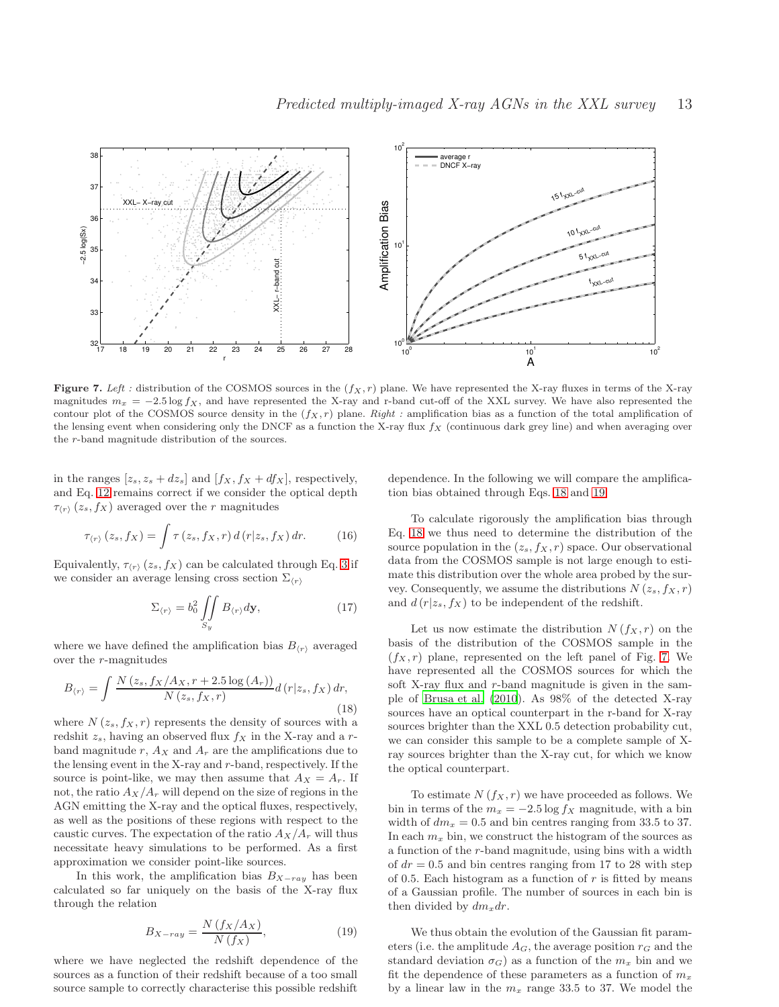

<span id="page-12-2"></span>Figure 7. Left : distribution of the COSMOS sources in the  $(f_X, r)$  plane. We have represented the X-ray fluxes in terms of the X-ray magnitudes  $m_x = -2.5 \log f_X$ , and have represented the X-ray and r-band cut-off of the XXL survey. We have also represented the contour plot of the COSMOS source density in the  $(f_X, r)$  plane. *Right :* amplification bias as a function of the total amplification of the lensing event when considering only the DNCF as a function the X-ray flux  $f_X$  (continuous dark grey line) and when averaging over the r-band magnitude distribution of the sources.

in the ranges  $[z_s, z_s + dz_s]$  and  $[f_X, f_X + df_X]$ , respectively, and Eq. [12](#page-4-0) remains correct if we consider the optical depth  $\tau_{\langle r \rangle}(z_s, f_X)$  averaged over the r magnitudes

$$
\tau_{\langle r\rangle}(z_s, f_X) = \int \tau(z_s, f_X, r) d(r|z_s, f_X) dr.
$$
 (16)

Equivalently,  $\tau_{\langle r \rangle}$  ( $z_s, f_X$ ) can be calculated through Eq. [3](#page-1-2) if we consider an average lensing cross section  $\Sigma_{(r)}$ 

$$
\Sigma_{\langle r\rangle} = b_0^2 \iint\limits_{S_y} B_{\langle r\rangle} d\mathbf{y},\tag{17}
$$

where we have defined the amplification bias  $B_{(r)}$  averaged over the r-magnitudes

<span id="page-12-0"></span>
$$
B_{\langle r \rangle} = \int \frac{N(z_s, f_X/A_X, r+2.5 \log(A_r))}{N(z_s, f_X, r)} d\left(r|z_s, f_X\right) dr,\tag{18}
$$

where  $N(z_s, f_X, r)$  represents the density of sources with a redshit  $z_s$ , having an observed flux  $f_X$  in the X-ray and a rband magnitude r,  $A_X$  and  $A_r$  are the amplifications due to the lensing event in the X-ray and r-band, respectively. If the source is point-like, we may then assume that  $A_X = A_r$ . If not, the ratio  $A_X/A_r$  will depend on the size of regions in the AGN emitting the X-ray and the optical fluxes, respectively, as well as the positions of these regions with respect to the caustic curves. The expectation of the ratio  $A_X/A_r$  will thus necessitate heavy simulations to be performed. As a first approximation we consider point-like sources.

In this work, the amplification bias  $B_{X-ray}$  has been calculated so far uniquely on the basis of the X-ray flux through the relation

<span id="page-12-1"></span>
$$
B_{X-ray} = \frac{N\left(f_X/A_X\right)}{N\left(f_X\right)},\tag{19}
$$

where we have neglected the redshift dependence of the sources as a function of their redshift because of a too small source sample to correctly characterise this possible redshift

dependence. In the following we will compare the amplification bias obtained through Eqs. [18](#page-12-0) and [19.](#page-12-1)

To calculate rigorously the amplification bias through Eq. [18](#page-12-0) we thus need to determine the distribution of the source population in the  $(z_s, f_X, r)$  space. Our observational data from the COSMOS sample is not large enough to estimate this distribution over the whole area probed by the survey. Consequently, we assume the distributions  $N(z_s, f_X, r)$ and  $d(r|z_s, f_X)$  to be independent of the redshift.

Let us now estimate the distribution  $N(f_X,r)$  on the basis of the distribution of the COSMOS sample in the  $(f_X, r)$  plane, represented on the left panel of Fig. [7.](#page-12-2) We have represented all the COSMOS sources for which the soft X-ray flux and r-band magnitude is given in the sample of [Brusa et al. \(2010\)](#page-13-1). As 98% of the detected X-ray sources have an optical counterpart in the r-band for X-ray sources brighter than the XXL 0.5 detection probability cut, we can consider this sample to be a complete sample of Xray sources brighter than the X-ray cut, for which we know the optical counterpart.

To estimate  $N(f_X, r)$  we have proceeded as follows. We bin in terms of the  $m_x = -2.5 \log f_x$  magnitude, with a bin width of  $dm_x = 0.5$  and bin centres ranging from 33.5 to 37. In each  $m_x$  bin, we construct the histogram of the sources as a function of the r-band magnitude, using bins with a width of  $dr = 0.5$  and bin centres ranging from 17 to 28 with step of 0.5. Each histogram as a function of  $r$  is fitted by means of a Gaussian profile. The number of sources in each bin is then divided by  $dm_x dr$ .

We thus obtain the evolution of the Gaussian fit parameters (i.e. the amplitude  $A_G$ , the average position  $r_G$  and the standard deviation  $\sigma_G$ ) as a function of the  $m_x$  bin and we fit the dependence of these parameters as a function of  $m_x$ by a linear law in the  $m_x$  range 33.5 to 37. We model the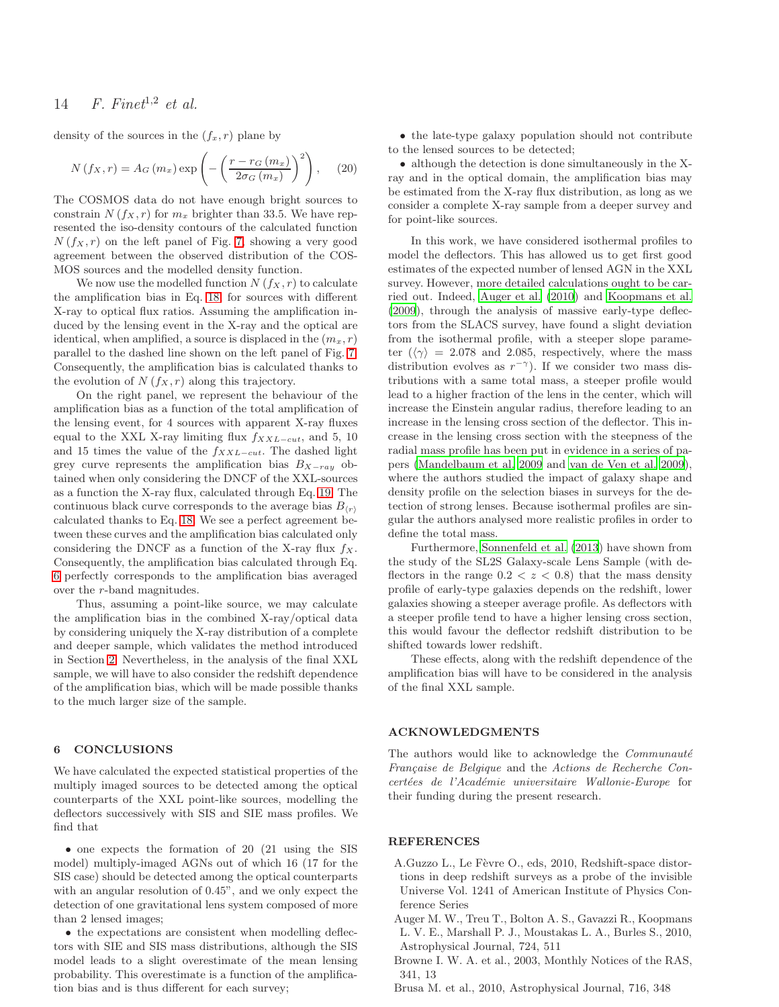density of the sources in the  $(f_x, r)$  plane by

$$
N(f_X, r) = A_G(m_x) \exp\left(-\left(\frac{r - r_G(m_x)}{2\sigma_G(m_x)}\right)^2\right), \quad (20)
$$

The COSMOS data do not have enough bright sources to constrain  $N(f_X, r)$  for  $m_x$  brighter than 33.5. We have represented the iso-density contours of the calculated function  $N(f_X,r)$  on the left panel of Fig. [7,](#page-12-2) showing a very good agreement between the observed distribution of the COS-MOS sources and the modelled density function.

We now use the modelled function  $N(f_X, r)$  to calculate the amplification bias in Eq. [18,](#page-12-0) for sources with different X-ray to optical flux ratios. Assuming the amplification induced by the lensing event in the X-ray and the optical are identical, when amplified, a source is displaced in the  $(m_x, r)$ parallel to the dashed line shown on the left panel of Fig. [7.](#page-12-2) Consequently, the amplification bias is calculated thanks to the evolution of  $N(f_X, r)$  along this trajectory.

On the right panel, we represent the behaviour of the amplification bias as a function of the total amplification of the lensing event, for 4 sources with apparent X-ray fluxes equal to the XXL X-ray limiting flux  $f_{XXL-cut}$ , and 5, 10 and 15 times the value of the  $f_{XXL-cut}$ . The dashed light grey curve represents the amplification bias  $B_{X-ray}$  obtained when only considering the DNCF of the XXL-sources as a function the X-ray flux, calculated through Eq. [19.](#page-12-1) The continuous black curve corresponds to the average bias  $B_{(r)}$ calculated thanks to Eq. [18.](#page-12-0) We see a perfect agreement between these curves and the amplification bias calculated only considering the DNCF as a function of the X-ray flux  $f_X$ . Consequently, the amplification bias calculated through Eq. [6](#page-2-1) perfectly corresponds to the amplification bias averaged over the r-band magnitudes.

Thus, assuming a point-like source, we may calculate the amplification bias in the combined X-ray/optical data by considering uniquely the X-ray distribution of a complete and deeper sample, which validates the method introduced in Section [2.](#page-1-0) Nevertheless, in the analysis of the final XXL sample, we will have to also consider the redshift dependence of the amplification bias, which will be made possible thanks to the much larger size of the sample.

## 6 CONCLUSIONS

We have calculated the expected statistical properties of the multiply imaged sources to be detected among the optical counterparts of the XXL point-like sources, modelling the deflectors successively with SIS and SIE mass profiles. We find that

• one expects the formation of 20 (21 using the SIS model) multiply-imaged AGNs out of which 16 (17 for the SIS case) should be detected among the optical counterparts with an angular resolution of 0.45", and we only expect the detection of one gravitational lens system composed of more than 2 lensed images;

• the expectations are consistent when modelling deflectors with SIE and SIS mass distributions, although the SIS model leads to a slight overestimate of the mean lensing probability. This overestimate is a function of the amplification bias and is thus different for each survey;

• the late-type galaxy population should not contribute to the lensed sources to be detected;

• although the detection is done simultaneously in the Xray and in the optical domain, the amplification bias may be estimated from the X-ray flux distribution, as long as we consider a complete X-ray sample from a deeper survey and for point-like sources.

In this work, we have considered isothermal profiles to model the deflectors. This has allowed us to get first good estimates of the expected number of lensed AGN in the XXL survey. However, more detailed calculations ought to be carried out. Indeed, [Auger et al. \(2010](#page-13-3)) and [Koopmans et al.](#page-14-43) [\(2009](#page-14-43)), through the analysis of massive early-type deflectors from the SLACS survey, have found a slight deviation from the isothermal profile, with a steeper slope parameter  $(\langle \gamma \rangle = 2.078$  and 2.085, respectively, where the mass distribution evolves as  $r^{-\gamma}$ ). If we consider two mass distributions with a same total mass, a steeper profile would lead to a higher fraction of the lens in the center, which will increase the Einstein angular radius, therefore leading to an increase in the lensing cross section of the deflector. This increase in the lensing cross section with the steepness of the radial mass profile has been put in evidence in a series of papers [\(Mandelbaum et al. 2009](#page-14-44) and [van de Ven et al. 2009](#page-14-45)), where the authors studied the impact of galaxy shape and density profile on the selection biases in surveys for the detection of strong lenses. Because isothermal profiles are singular the authors analysed more realistic profiles in order to define the total mass.

Furthermore, [Sonnenfeld et al. \(2013\)](#page-14-46) have shown from the study of the SL2S Galaxy-scale Lens Sample (with deflectors in the range  $0.2 < z < 0.8$ ) that the mass density profile of early-type galaxies depends on the redshift, lower galaxies showing a steeper average profile. As deflectors with a steeper profile tend to have a higher lensing cross section, this would favour the deflector redshift distribution to be shifted towards lower redshift.

These effects, along with the redshift dependence of the amplification bias will have to be considered in the analysis of the final XXL sample.

## ACKNOWLEDGMENTS

The authors would like to acknowledge the  $Communauté$ Française de Belgique and the Actions de Recherche Concertées de l'Académie universitaire Wallonie-Europe for their funding during the present research.

#### **REFERENCES**

- <span id="page-13-0"></span>A.Guzzo L., Le Fèvre O., eds, 2010, Redshift-space distortions in deep redshift surveys as a probe of the invisible Universe Vol. 1241 of American Institute of Physics Conference Series
- <span id="page-13-3"></span>Auger M. W., Treu T., Bolton A. S., Gavazzi R., Koopmans L. V. E., Marshall P. J., Moustakas L. A., Burles S., 2010, Astrophysical Journal, 724, 511
- <span id="page-13-2"></span>Browne I. W. A. et al., 2003, Monthly Notices of the RAS, 341, 13
- <span id="page-13-1"></span>Brusa M. et al., 2010, Astrophysical Journal, 716, 348